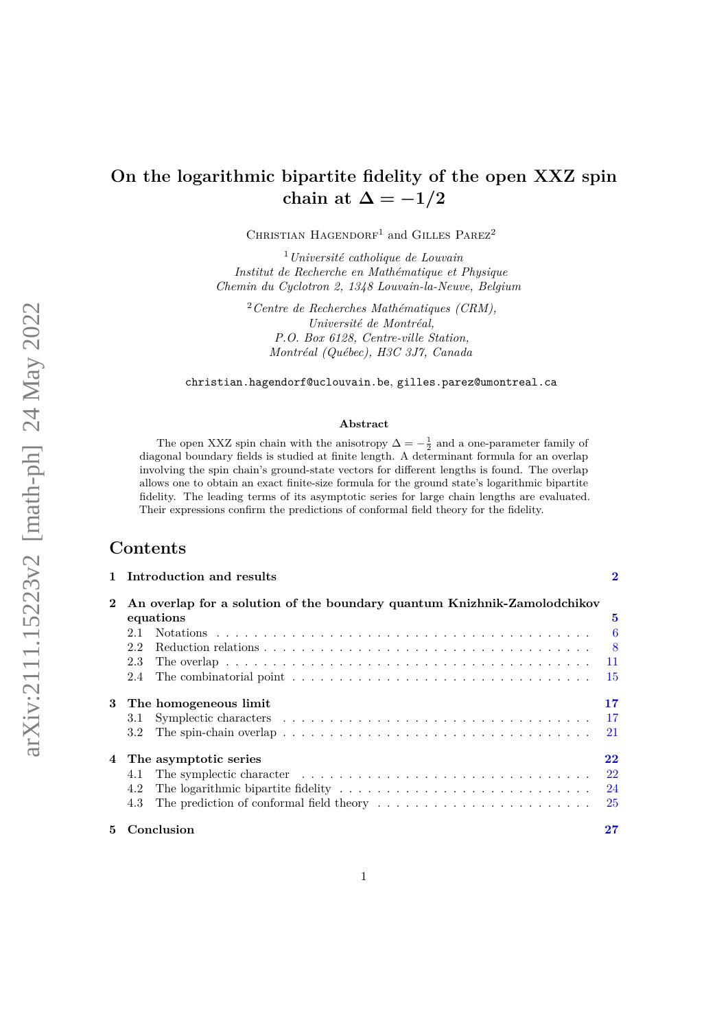# **On the logarithmic bipartite fidelity of the open XXZ spin** chain at  $\Delta = -1/2$

CHRISTIAN HAGENDORF<sup>1</sup> and GILLES PAREZ<sup>2</sup>

<sup>1</sup>*Universit´e catholique de Louvain Institut de Recherche en Math´ematique et Physique Chemin du Cyclotron 2, 1348 Louvain-la-Neuve, Belgium*

<sup>2</sup> Centre de Recherches Mathématiques (CRM), *Université de Montréal, P.O. Box 6128, Centre-ville Station, Montr´eal (Qu´ebec), H3C 3J7, Canada*

[christian.hagendorf@uclouvain.be](mailto:christian.hagendorf@uclouvain.be), [gilles.parez@umontreal.ca](mailto:gilles.parez@umontreal.ca)

#### **Abstract**

The open XXZ spin chain with the anisotropy  $\Delta = -\frac{1}{2}$  and a one-parameter family of diagonal boundary fields is studied at finite length. A determinant formula for an overlap involving the spin chain's ground-state vectors for different lengths is found. The overlap allows one to obtain an exact finite-size formula for the ground state's logarithmic bipartite fidelity. The leading terms of its asymptotic series for large chain lengths are evaluated. Their expressions confirm the predictions of conformal field theory for the fidelity.

# **Contents**

|              | 1 Introduction and results                                                                                   | $\bf{2}$                   |
|--------------|--------------------------------------------------------------------------------------------------------------|----------------------------|
| $\mathbf{2}$ | An overlap for a solution of the boundary quantum Knizhnik-Zamolodchikov                                     |                            |
|              | equations                                                                                                    | 5                          |
|              | 2.1                                                                                                          | $\overline{\phantom{0}}$ 6 |
|              | 2.2                                                                                                          | $\sim$ 8                   |
|              | 2.3                                                                                                          | -11                        |
|              | 2.4                                                                                                          | -15                        |
| 3            | The homogeneous limit                                                                                        | 17                         |
|              | 3.1                                                                                                          | -17                        |
|              | The spin-chain overlap $\ldots \ldots \ldots \ldots \ldots \ldots \ldots \ldots \ldots \ldots \ldots$<br>3.2 | 21                         |
| 4            | The asymptotic series                                                                                        | 22                         |
|              | 4.1                                                                                                          | 22                         |
|              | 4.2                                                                                                          | 24                         |
|              | 4.3                                                                                                          | - 25                       |
| 5.           | Conclusion                                                                                                   | $\bf 27$                   |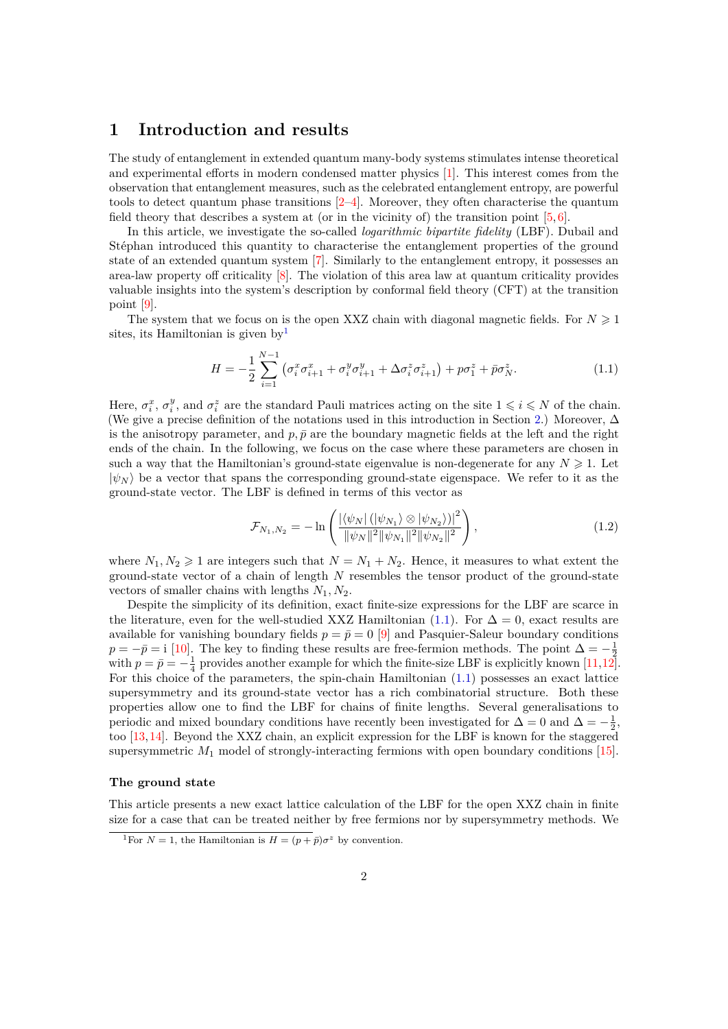# <span id="page-1-0"></span>**1 Introduction and results**

The study of entanglement in extended quantum many-body systems stimulates intense theoretical and experimental efforts in modern condensed matter physics [\[1\]](#page-27-0). This interest comes from the observation that entanglement measures, such as the celebrated entanglement entropy, are powerful tools to detect quantum phase transitions [\[2–](#page-27-1)[4\]](#page-27-2). Moreover, they often characterise the quantum field theory that describes a system at (or in the vicinity of) the transition point  $[5, 6]$  $[5, 6]$ .

In this article, we investigate the so-called *logarithmic bipartite fidelity* (LBF). Dubail and Stéphan introduced this quantity to characterise the entanglement properties of the ground state of an extended quantum system [\[7\]](#page-27-5). Similarly to the entanglement entropy, it possesses an area-law property off criticality [\[8\]](#page-27-6). The violation of this area law at quantum criticality provides valuable insights into the system's description by conformal field theory (CFT) at the transition point [\[9\]](#page-27-7).

The system that we focus on is the open XXZ chain with diagonal magnetic fields. For  $N \geq 1$ sites, its Hamiltonian is given by<sup>[1](#page-1-1)</sup>

<span id="page-1-2"></span>
$$
H = -\frac{1}{2} \sum_{i=1}^{N-1} \left( \sigma_i^x \sigma_{i+1}^x + \sigma_i^y \sigma_{i+1}^y + \Delta \sigma_i^z \sigma_{i+1}^z \right) + p \sigma_1^z + \bar{p} \sigma_N^z. \tag{1.1}
$$

Here,  $\sigma_i^x$ ,  $\sigma_i^y$ , and  $\sigma_i^z$  are the standard Pauli matrices acting on the site  $1 \leq i \leq N$  of the chain. (We give a precise definition of the notations used in this introduction in Section [2.](#page-4-0)) Moreover, ∆ is the anisotropy parameter, and  $p, \bar{p}$  are the boundary magnetic fields at the left and the right ends of the chain. In the following, we focus on the case where these parameters are chosen in such a way that the Hamiltonian's ground-state eigenvalue is non-degenerate for any  $N \geq 1$ . Let  $|\psi_N\rangle$  be a vector that spans the corresponding ground-state eigenspace. We refer to it as the ground-state vector. The LBF is defined in terms of this vector as

$$
\mathcal{F}_{N_1,N_2} = -\ln\left(\frac{\left|\langle\psi_N\right|(\left|\psi_{N_1}\rangle\otimes\left|\psi_{N_2}\right\rangle)\right|^2}{\left\|\psi_N\right\|^2\left\|\psi_{N_1}\right\|^2\left\|\psi_{N_2}\right\|^2}\right),\tag{1.2}
$$

where  $N_1, N_2 \geq 1$  are integers such that  $N = N_1 + N_2$ . Hence, it measures to what extent the ground-state vector of a chain of length *N* resembles the tensor product of the ground-state vectors of smaller chains with lengths *N*1*, N*2.

Despite the simplicity of its definition, exact finite-size expressions for the LBF are scarce in the literature, even for the well-studied XXZ Hamiltonian [\(1.1\)](#page-1-2). For  $\Delta = 0$ , exact results are available for vanishing boundary fields  $p = \bar{p} = 0$  [\[9\]](#page-27-7) and Pasquier-Saleur boundary conditions  $p = -\bar{p} = i$  [\[10\]](#page-27-8). The key to finding these results are free-fermion methods. The point  $\Delta = -\frac{1}{2}$ with  $p = \bar{p} = -\frac{1}{4}$  provides another example for which the finite-size LBF is explicitly known [\[11,](#page-27-9)[12\]](#page-28-0). For this choice of the parameters, the spin-chain Hamiltonian [\(1.1\)](#page-1-2) possesses an exact lattice supersymmetry and its ground-state vector has a rich combinatorial structure. Both these properties allow one to find the LBF for chains of finite lengths. Several generalisations to periodic and mixed boundary conditions have recently been investigated for  $\Delta = 0$  and  $\Delta = -\frac{1}{2}$ , too [\[13,](#page-28-1)[14\]](#page-28-2). Beyond the XXZ chain, an explicit expression for the LBF is known for the staggered supersymmetric *M*<sup>1</sup> model of strongly-interacting fermions with open boundary conditions [\[15\]](#page-28-3).

#### **The ground state**

This article presents a new exact lattice calculation of the LBF for the open XXZ chain in finite size for a case that can be treated neither by free fermions nor by supersymmetry methods. We

<span id="page-1-1"></span><sup>&</sup>lt;sup>1</sup>For *N* = 1, the Hamiltonian is  $H = (p + \bar{p})\sigma^z$  by convention.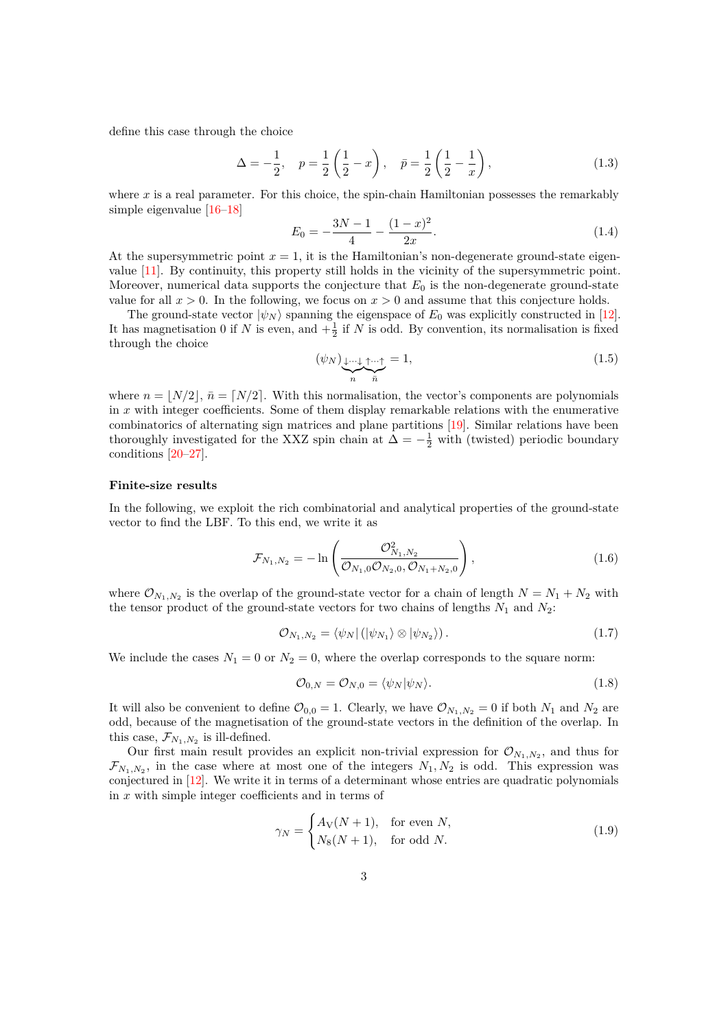define this case through the choice

<span id="page-2-2"></span>
$$
\Delta = -\frac{1}{2}, \quad p = \frac{1}{2} \left( \frac{1}{2} - x \right), \quad \bar{p} = \frac{1}{2} \left( \frac{1}{2} - \frac{1}{x} \right), \tag{1.3}
$$

where  $x$  is a real parameter. For this choice, the spin-chain Hamiltonian possesses the remarkably simple eigenvalue [\[16–](#page-28-4)[18\]](#page-28-5)

<span id="page-2-3"></span>
$$
E_0 = -\frac{3N-1}{4} - \frac{(1-x)^2}{2x}.
$$
\n(1.4)

At the supersymmetric point  $x = 1$ , it is the Hamiltonian's non-degenerate ground-state eigenvalue [\[11\]](#page-27-9). By continuity, this property still holds in the vicinity of the supersymmetric point. Moreover, numerical data supports the conjecture that *E*<sup>0</sup> is the non-degenerate ground-state value for all  $x > 0$ . In the following, we focus on  $x > 0$  and assume that this conjecture holds.

The ground-state vector  $|\psi_N\rangle$  spanning the eigenspace of  $E_0$  was explicitly constructed in [\[12\]](#page-28-0). It has magnetisation 0 if *N* is even, and  $+\frac{1}{2}$  if *N* is odd. By convention, its normalisation is fixed through the choice

$$
(\psi_N)_{\underbrace{1\cdots 1}_{n}\stackrel{\uparrow}{\bar{n}}} = 1,\tag{1.5}
$$

where  $n = |N/2|$ ,  $\bar{n} = |N/2|$ . With this normalisation, the vector's components are polynomials in *x* with integer coefficients. Some of them display remarkable relations with the enumerative combinatorics of alternating sign matrices and plane partitions [\[19\]](#page-28-6). Similar relations have been thoroughly investigated for the XXZ spin chain at  $\Delta = -\frac{1}{2}$  with (twisted) periodic boundary conditions [\[20–](#page-28-7)[27\]](#page-28-8).

#### **Finite-size results**

In the following, we exploit the rich combinatorial and analytical properties of the ground-state vector to find the LBF. To this end, we write it as

<span id="page-2-1"></span>
$$
\mathcal{F}_{N_1,N_2} = -\ln\left(\frac{\mathcal{O}_{N_1,N_2}^2}{\mathcal{O}_{N_1,0}\mathcal{O}_{N_2,0},\mathcal{O}_{N_1+N_2,0}}\right),\tag{1.6}
$$

where  $\mathcal{O}_{N_1,N_2}$  is the overlap of the ground-state vector for a chain of length  $N = N_1 + N_2$  with the tensor product of the ground-state vectors for two chains of lengths  $N_1$  and  $N_2$ :

$$
\mathcal{O}_{N_1,N_2} = \langle \psi_N | (|\psi_{N_1}\rangle \otimes |\psi_{N_2}\rangle).
$$
\n(1.7)

We include the cases  $N_1 = 0$  or  $N_2 = 0$ , where the overlap corresponds to the square norm:

$$
\mathcal{O}_{0,N} = \mathcal{O}_{N,0} = \langle \psi_N | \psi_N \rangle. \tag{1.8}
$$

It will also be convenient to define  $\mathcal{O}_{0,0} = 1$ . Clearly, we have  $\mathcal{O}_{N_1,N_2} = 0$  if both  $N_1$  and  $N_2$  are odd, because of the magnetisation of the ground-state vectors in the definition of the overlap. In this case,  $\mathcal{F}_{N_1,N_2}$  is ill-defined.

Our first main result provides an explicit non-trivial expression for  $\mathcal{O}_{N_1,N_2}$ , and thus for  $\mathcal{F}_{N_1,N_2}$ , in the case where at most one of the integers  $N_1, N_2$  is odd. This expression was conjectured in [\[12\]](#page-28-0). We write it in terms of a determinant whose entries are quadratic polynomials in *x* with simple integer coefficients and in terms of

<span id="page-2-0"></span>
$$
\gamma_N = \begin{cases} A_V(N+1), & \text{for even } N, \\ N_8(N+1), & \text{for odd } N. \end{cases}
$$
 (1.9)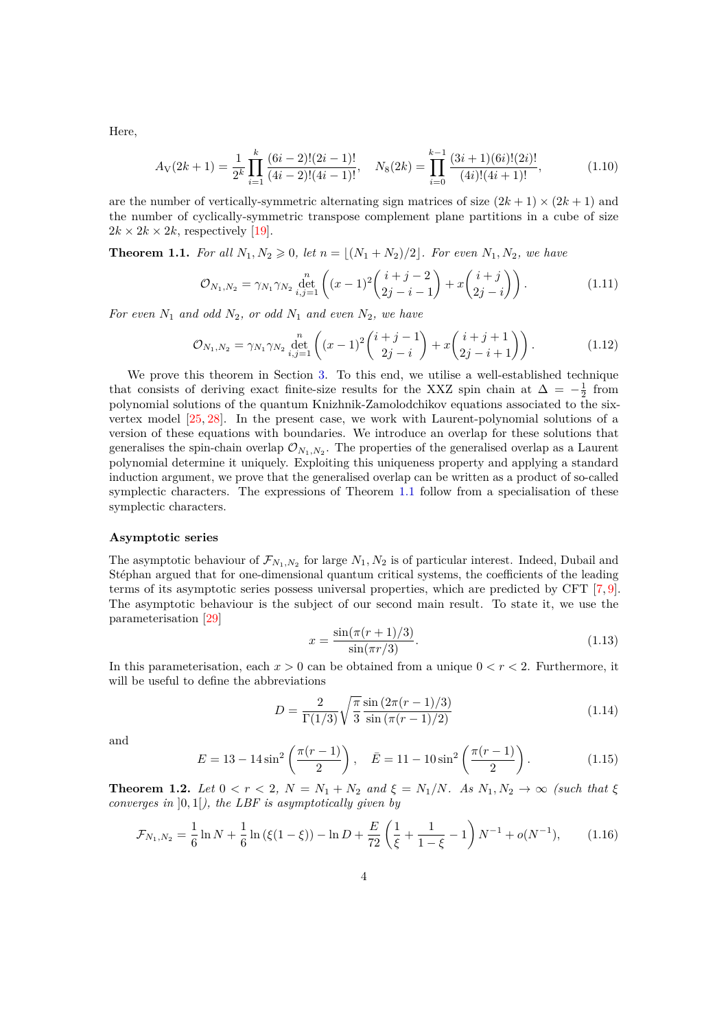Here,

$$
A_V(2k+1) = \frac{1}{2^k} \prod_{i=1}^k \frac{(6i-2)!(2i-1)!}{(4i-2)!(4i-1)!}, \quad N_8(2k) = \prod_{i=0}^{k-1} \frac{(3i+1)(6i)!(2i)!}{(4i)!(4i+1)!},
$$
(1.10)

are the number of vertically-symmetric alternating sign matrices of size  $(2k+1) \times (2k+1)$  and the number of cyclically-symmetric transpose complement plane partitions in a cube of size  $2k \times 2k \times 2k$ , respectively [\[19\]](#page-28-6).

<span id="page-3-0"></span>**Theorem 1.1.** For all  $N_1, N_2 \ge 0$ , let  $n = |(N_1 + N_2)/2|$ . For even  $N_1, N_2$ , we have

$$
\mathcal{O}_{N_1,N_2} = \gamma_{N_1} \gamma_{N_2} \det_{i,j=1}^{n} \left( (x-1)^2 \binom{i+j-2}{2j-i-1} + x \binom{i+j}{2j-i} \right). \tag{1.11}
$$

*For even*  $N_1$  *and odd*  $N_2$ *, or odd*  $N_1$  *and even*  $N_2$ *, we have* 

$$
\mathcal{O}_{N_1,N_2} = \gamma_{N_1} \gamma_{N_2} \det_{i,j=1}^{n} \left( (x-1)^2 \binom{i+j-1}{2j-i} + x \binom{i+j+1}{2j-i+1} \right). \tag{1.12}
$$

We prove this theorem in Section [3.](#page-16-0) To this end, we utilise a well-established technique that consists of deriving exact finite-size results for the XXZ spin chain at  $\Delta = -\frac{1}{2}$  from polynomial solutions of the quantum Knizhnik-Zamolodchikov equations associated to the sixvertex model [\[25,](#page-28-9) [28\]](#page-28-10). In the present case, we work with Laurent-polynomial solutions of a version of these equations with boundaries. We introduce an overlap for these solutions that generalises the spin-chain overlap  $\mathcal{O}_{N_1,N_2}$ . The properties of the generalised overlap as a Laurent polynomial determine it uniquely. Exploiting this uniqueness property and applying a standard induction argument, we prove that the generalised overlap can be written as a product of so-called symplectic characters. The expressions of Theorem [1.1](#page-3-0) follow from a specialisation of these symplectic characters.

#### **Asymptotic series**

The asymptotic behaviour of  $\mathcal{F}_{N_1,N_2}$  for large  $N_1, N_2$  is of particular interest. Indeed, Dubail and Stéphan argued that for one-dimensional quantum critical systems, the coefficients of the leading terms of its asymptotic series possess universal properties, which are predicted by CFT [\[7,](#page-27-5) [9\]](#page-27-7). The asymptotic behaviour is the subject of our second main result. To state it, we use the parameterisation [\[29\]](#page-28-11)

<span id="page-3-2"></span>
$$
x = \frac{\sin(\pi(r+1)/3)}{\sin(\pi r/3)}.
$$
\n(1.13)

In this parameterisation, each  $x > 0$  can be obtained from a unique  $0 < r < 2$ . Furthermore, it will be useful to define the abbreviations

<span id="page-3-3"></span>
$$
D = \frac{2}{\Gamma(1/3)} \sqrt{\frac{\pi}{3}} \frac{\sin(2\pi(r-1)/3)}{\sin(\pi(r-1)/2)}
$$
(1.14)

and

$$
E = 13 - 14\sin^2\left(\frac{\pi(r-1)}{2}\right), \quad \bar{E} = 11 - 10\sin^2\left(\frac{\pi(r-1)}{2}\right). \tag{1.15}
$$

<span id="page-3-1"></span>**Theorem 1.2.** *Let*  $0 < r < 2$ ,  $N = N_1 + N_2$  *and*  $\xi = N_1/N$ *. As*  $N_1, N_2 \to \infty$  *(such that*  $\xi$ ) *converges in* ]0*,* 1[*), the LBF is asymptotically given by*

$$
\mathcal{F}_{N_1,N_2} = \frac{1}{6} \ln N + \frac{1}{6} \ln \left( \xi (1 - \xi) \right) - \ln D + \frac{E}{72} \left( \frac{1}{\xi} + \frac{1}{1 - \xi} - 1 \right) N^{-1} + o(N^{-1}), \tag{1.16}
$$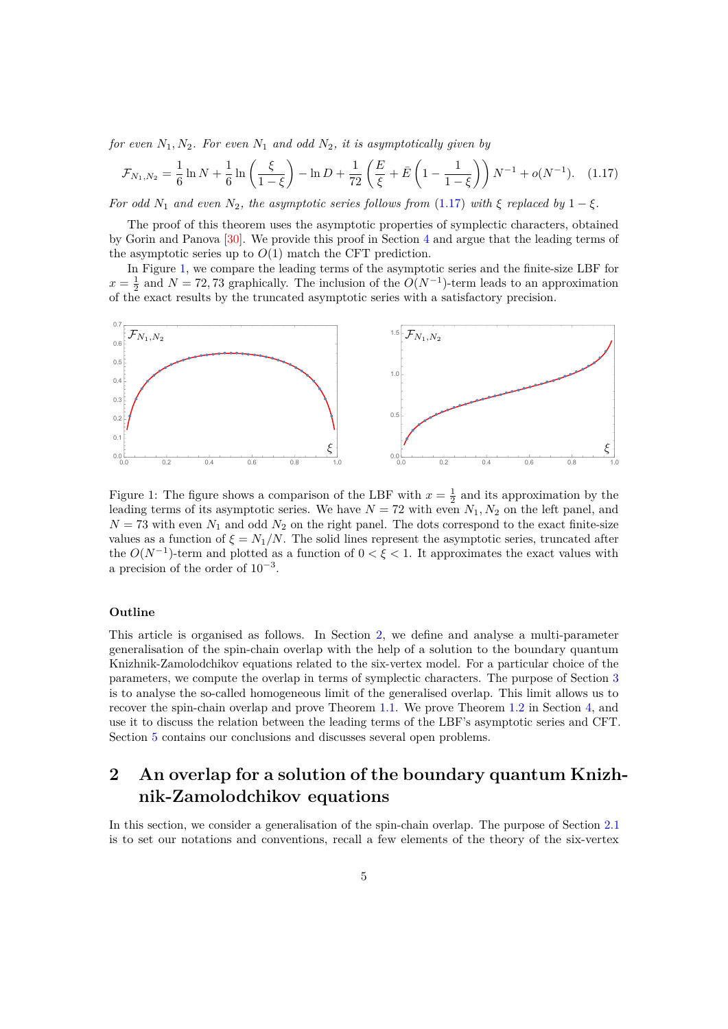*for even*  $N_1, N_2$ *. For even*  $N_1$  *and odd*  $N_2$ *, it is asymptotically given by* 

<span id="page-4-1"></span>
$$
\mathcal{F}_{N_1,N_2} = \frac{1}{6} \ln N + \frac{1}{6} \ln \left( \frac{\xi}{1-\xi} \right) - \ln D + \frac{1}{72} \left( \frac{E}{\xi} + \bar{E} \left( 1 - \frac{1}{1-\xi} \right) \right) N^{-1} + o(N^{-1}). \quad (1.17)
$$

*For odd*  $N_1$  *and even*  $N_2$ *, the asymptotic series follows from* [\(1.17\)](#page-4-1) *with*  $\xi$  *replaced by* 1 −  $\xi$ *.* 

The proof of this theorem uses the asymptotic properties of symplectic characters, obtained by Gorin and Panova [\[30\]](#page-28-12). We provide this proof in Section [4](#page-21-0) and argue that the leading terms of the asymptotic series up to  $O(1)$  match the CFT prediction.

In Figure [1,](#page-4-2) we compare the leading terms of the asymptotic series and the finite-size LBF for  $x = \frac{1}{2}$  and  $N = 72, 73$  graphically. The inclusion of the  $O(N^{-1})$ -term leads to an approximation of the exact results by the truncated asymptotic series with a satisfactory precision.



<span id="page-4-2"></span>Figure 1: The figure shows a comparison of the LBF with  $x = \frac{1}{2}$  and its approximation by the leading terms of its asymptotic series. We have  $N = 72$  with even  $N_1, N_2$  on the left panel, and  $N = 73$  with even  $N_1$  and odd  $N_2$  on the right panel. The dots correspond to the exact finite-size values as a function of  $\xi = N_1/N$ . The solid lines represent the asymptotic series, truncated after the  $O(N^{-1})$ -term and plotted as a function of  $0 < \xi < 1$ . It approximates the exact values with a precision of the order of  $10^{-3}$ .

## **Outline**

This article is organised as follows. In Section [2,](#page-4-0) we define and analyse a multi-parameter generalisation of the spin-chain overlap with the help of a solution to the boundary quantum Knizhnik-Zamolodchikov equations related to the six-vertex model. For a particular choice of the parameters, we compute the overlap in terms of symplectic characters. The purpose of Section [3](#page-16-0) is to analyse the so-called homogeneous limit of the generalised overlap. This limit allows us to recover the spin-chain overlap and prove Theorem [1.1.](#page-3-0) We prove Theorem [1.2](#page-3-1) in Section [4,](#page-21-0) and use it to discuss the relation between the leading terms of the LBF's asymptotic series and CFT. Section [5](#page-26-0) contains our conclusions and discusses several open problems.

# <span id="page-4-0"></span>**2 An overlap for a solution of the boundary quantum Knizhnik-Zamolodchikov equations**

In this section, we consider a generalisation of the spin-chain overlap. The purpose of Section [2.1](#page-5-0) is to set our notations and conventions, recall a few elements of the theory of the six-vertex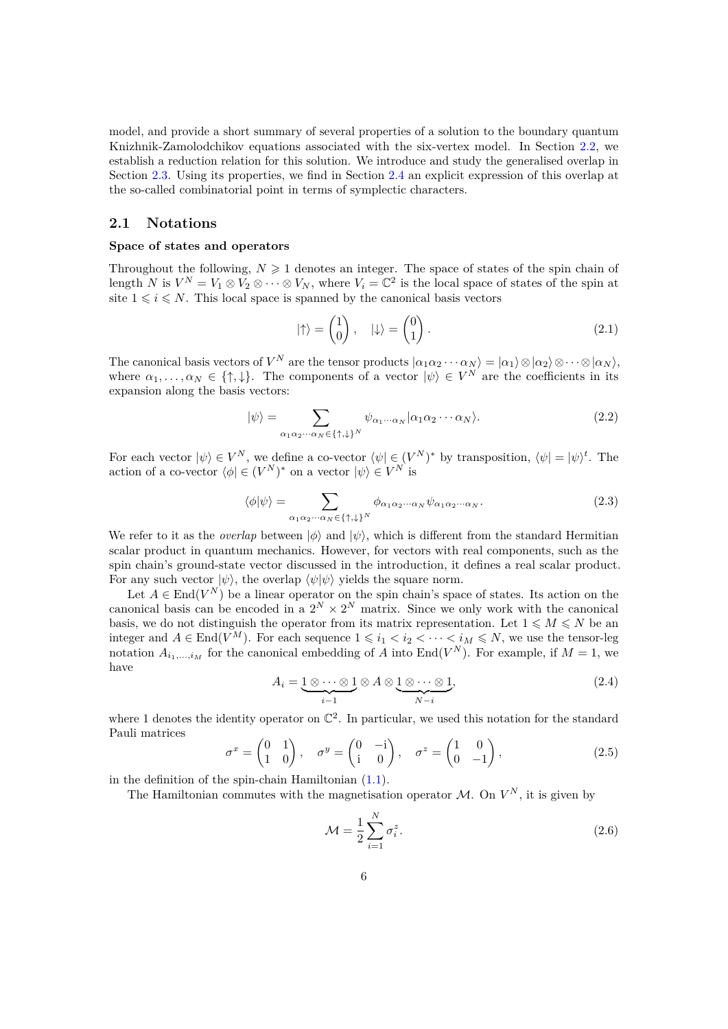model, and provide a short summary of several properties of a solution to the boundary quantum Knizhnik-Zamolodchikov equations associated with the six-vertex model. In Section [2.2,](#page-7-0) we establish a reduction relation for this solution. We introduce and study the generalised overlap in Section [2.3.](#page-10-0) Using its properties, we find in Section [2.4](#page-14-0) an explicit expression of this overlap at the so-called combinatorial point in terms of symplectic characters.

# <span id="page-5-0"></span>**2.1 Notations**

#### **Space of states and operators**

Throughout the following,  $N \geq 1$  denotes an integer. The space of states of the spin chain of length *N* is  $V^N = V_1 \otimes V_2 \otimes \cdots \otimes V_N$ , where  $V_i = \mathbb{C}^2$  is the local space of states of the spin at site  $1 \leq i \leq N$ . This local space is spanned by the canonical basis vectors

$$
|\uparrow\rangle = \begin{pmatrix} 1 \\ 0 \end{pmatrix}, \quad |\downarrow\rangle = \begin{pmatrix} 0 \\ 1 \end{pmatrix}.
$$
 (2.1)

The canonical basis vectors of  $V^N$  are the tensor products  $|\alpha_1\alpha_2\cdots\alpha_N\rangle = |\alpha_1\rangle \otimes |\alpha_2\rangle \otimes \cdots \otimes |\alpha_N\rangle$ , where  $\alpha_1, \ldots, \alpha_N \in \{\uparrow, \downarrow\}.$  The components of a vector  $|\psi\rangle \in V^N$  are the coefficients in its expansion along the basis vectors:

$$
|\psi\rangle = \sum_{\alpha_1 \alpha_2 \cdots \alpha_N \in \{\uparrow, \downarrow\}^N} \psi_{\alpha_1 \cdots \alpha_N} |\alpha_1 \alpha_2 \cdots \alpha_N\rangle.
$$
 (2.2)

For each vector  $|\psi\rangle \in V^N$ , we define a co-vector  $\langle \psi | \in (V^N)^*$  by transposition,  $\langle \psi | = | \psi \rangle^t$ . The action of a co-vector  $\langle \phi | \in (V^N)^*$  on a vector  $|\psi\rangle \in V^N$  is

$$
\langle \phi | \psi \rangle = \sum_{\alpha_1 \alpha_2 \cdots \alpha_N \in \{\uparrow, \downarrow\}^N} \phi_{\alpha_1 \alpha_2 \cdots \alpha_N} \psi_{\alpha_1 \alpha_2 \cdots \alpha_N}.
$$
 (2.3)

We refer to it as the *overlap* between  $|\phi\rangle$  and  $|\psi\rangle$ , which is different from the standard Hermitian scalar product in quantum mechanics. However, for vectors with real components, such as the spin chain's ground-state vector discussed in the introduction, it defines a real scalar product. For any such vector  $|\psi\rangle$ , the overlap  $\langle \psi | \psi \rangle$  yields the square norm.

Let  $A \in \text{End}(V^N)$  be a linear operator on the spin chain's space of states. Its action on the canonical basis can be encoded in a  $2^N \times 2^N$  matrix. Since we only work with the canonical basis, we do not distinguish the operator from its matrix representation. Let  $1 \leq M \leq N$  be an integer and  $A \in \text{End}(V^M)$ . For each sequence  $1 \leq i_1 < i_2 < \cdots < i_M \leq N$ , we use the tensor-leg notation  $A_{i_1,\dots,i_M}$  for the canonical embedding of *A* into End( $V^N$ ). For example, if  $M=1$ , we have

$$
A_i = \underbrace{1 \otimes \cdots \otimes 1}_{i-1} \otimes A \otimes \underbrace{1 \otimes \cdots \otimes 1}_{N-i},
$$
\n(2.4)

where 1 denotes the identity operator on  $\mathbb{C}^2$ . In particular, we used this notation for the standard Pauli matrices

$$
\sigma^x = \begin{pmatrix} 0 & 1 \\ 1 & 0 \end{pmatrix}, \quad \sigma^y = \begin{pmatrix} 0 & -i \\ i & 0 \end{pmatrix}, \quad \sigma^z = \begin{pmatrix} 1 & 0 \\ 0 & -1 \end{pmatrix}, \tag{2.5}
$$

in the definition of the spin-chain Hamiltonian [\(1.1\)](#page-1-2).

The Hamiltonian commutes with the magnetisation operator  $\mathcal{M}$ . On  $V^N$ , it is given by

$$
\mathcal{M} = \frac{1}{2} \sum_{i=1}^{N} \sigma_i^z.
$$
\n(2.6)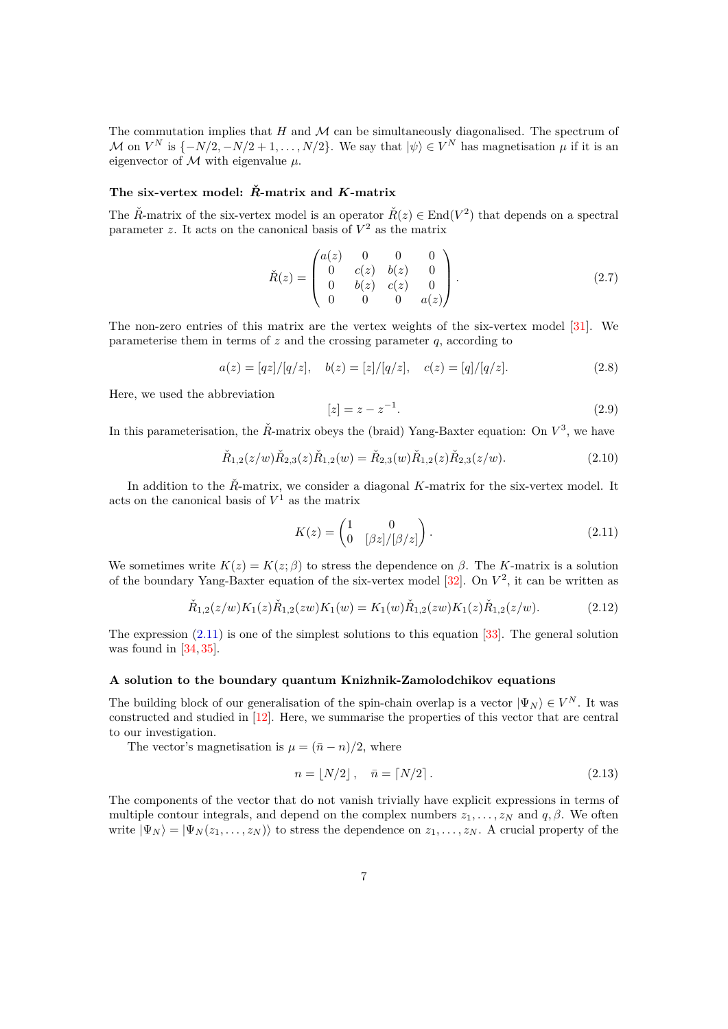The commutation implies that *H* and M can be simultaneously diagonalised. The spectrum of M on  $V^N$  is  $\{-N/2, -N/2 + 1, \ldots, N/2\}$ . We say that  $|\psi\rangle \in V^N$  has magnetisation  $\mu$  if it is an eigenvector of M with eigenvalue *µ*.

### **The six-vertex model:** *R***ˇ-matrix and** *K***-matrix**

The  $\check{R}$ -matrix of the six-vertex model is an operator  $\check{R}(z) \in \text{End}(V^2)$  that depends on a spectral parameter  $z$ . It acts on the canonical basis of  $V^2$  as the matrix

$$
\check{R}(z) = \begin{pmatrix} a(z) & 0 & 0 & 0 \\ 0 & c(z) & b(z) & 0 \\ 0 & b(z) & c(z) & 0 \\ 0 & 0 & 0 & a(z) \end{pmatrix}.
$$
 (2.7)

The non-zero entries of this matrix are the vertex weights of the six-vertex model [\[31\]](#page-29-0). We parameterise them in terms of *z* and the crossing parameter *q*, according to

$$
a(z) = [qz]/[q/z], \quad b(z) = [z]/[q/z], \quad c(z) = [q]/[q/z]. \tag{2.8}
$$

Here, we used the abbreviation

<span id="page-6-1"></span>
$$
[z] = z - z^{-1}.
$$
\n(2.9)

In this parameterisation, the  $\check{R}$ -matrix obeys the (braid) Yang-Baxter equation: On  $V^3$ , we have

$$
\check{R}_{1,2}(z/w)\check{R}_{2,3}(z)\check{R}_{1,2}(w) = \check{R}_{2,3}(w)\check{R}_{1,2}(z)\check{R}_{2,3}(z/w).
$$
\n(2.10)

In addition to the *R*-matrix, we consider a diagonal *K*-matrix for the six-vertex model. It acts on the canonical basis of *V* <sup>1</sup> as the matrix

<span id="page-6-2"></span><span id="page-6-0"></span>
$$
K(z) = \begin{pmatrix} 1 & 0 \\ 0 & [\beta z]/[\beta/z] \end{pmatrix}.
$$
 (2.11)

We sometimes write  $K(z) = K(z; \beta)$  to stress the dependence on  $\beta$ . The *K*-matrix is a solution of the boundary Yang-Baxter equation of the six-vertex model [\[32\]](#page-29-1). On *V* 2 , it can be written as

$$
\check{R}_{1,2}(z/w)K_1(z)\check{R}_{1,2}(zw)K_1(w) = K_1(w)\check{R}_{1,2}(zw)K_1(z)\check{R}_{1,2}(z/w).
$$
\n(2.12)

The expression  $(2.11)$  is one of the simplest solutions to this equation [\[33\]](#page-29-2). The general solution was found in [\[34,](#page-29-3) [35\]](#page-29-4).

## **A solution to the boundary quantum Knizhnik-Zamolodchikov equations**

The building block of our generalisation of the spin-chain overlap is a vector  $|\Psi_N\rangle \in V^N$ . It was constructed and studied in [\[12\]](#page-28-0). Here, we summarise the properties of this vector that are central to our investigation.

The vector's magnetisation is  $\mu = (\bar{n} - n)/2$ , where

<span id="page-6-3"></span>
$$
n = \lfloor N/2 \rfloor, \quad \bar{n} = \lceil N/2 \rceil. \tag{2.13}
$$

The components of the vector that do not vanish trivially have explicit expressions in terms of multiple contour integrals, and depend on the complex numbers  $z_1, \ldots, z_N$  and  $q, \beta$ . We often write  $|\Psi_N\rangle = |\Psi_N(z_1, \ldots, z_N)\rangle$  to stress the dependence on  $z_1, \ldots, z_N$ . A crucial property of the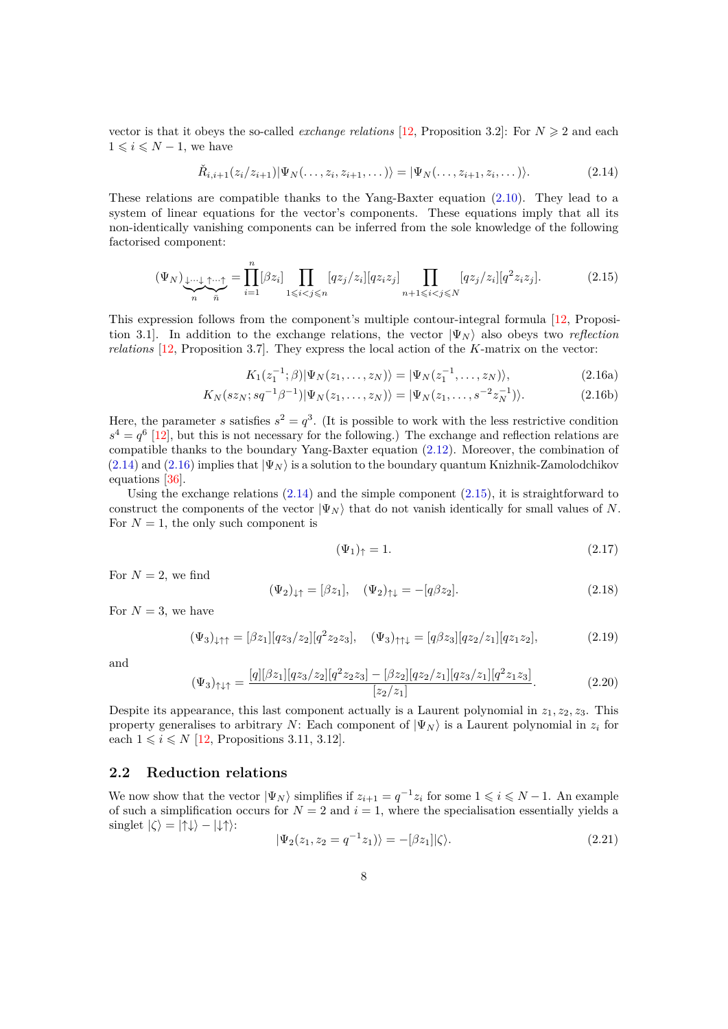vector is that it obeys the so-called *exchange relations* [\[12,](#page-28-0) Proposition 3.2]: For  $N \geq 2$  and each  $1 \leqslant i \leqslant N-1$ , we have

<span id="page-7-3"></span><span id="page-7-1"></span>
$$
\check{R}_{i,i+1}(z_i/z_{i+1})|\Psi_N(\ldots,z_i,z_{i+1},\ldots)\rangle = |\Psi_N(\ldots,z_{i+1},z_i,\ldots)\rangle.
$$
\n(2.14)

These relations are compatible thanks to the Yang-Baxter equation [\(2.10\)](#page-6-1). They lead to a system of linear equations for the vector's components. These equations imply that all its non-identically vanishing components can be inferred from the sole knowledge of the following factorised component:

$$
(\Psi_N)_{\underbrace{\downarrow \dots \downarrow}_{n} \uparrow \dots \uparrow}_{\overline{n}} = \prod_{i=1}^n [\beta z_i] \prod_{1 \leqslant i < j \leqslant n} [q z_j / z_i] [q z_i z_j] \prod_{n+1 \leqslant i < j \leqslant N} [q z_j / z_i] [q^2 z_i z_j]. \tag{2.15}
$$

This expression follows from the component's multiple contour-integral formula [\[12,](#page-28-0) Proposition 3.1]. In addition to the exchange relations, the vector  $|\Psi_N\rangle$  also obeys two *reflection relations* [\[12,](#page-28-0) Proposition 3.7]. They express the local action of the *K*-matrix on the vector:

$$
K_1(z_1^{-1};\beta)|\Psi_N(z_1,\ldots,z_N)\rangle = |\Psi_N(z_1^{-1},\ldots,z_N)\rangle, \tag{2.16a}
$$

$$
K_N(sz_N; sq^{-1}\beta^{-1})|\Psi_N(z_1,\ldots,z_N)\rangle = |\Psi_N(z_1,\ldots,s^{-2}z_N^{-1})\rangle.
$$
 (2.16b)

Here, the parameter *s* satisfies  $s^2 = q^3$ . (It is possible to work with the less restrictive condition  $s^4 = q^6$  [\[12\]](#page-28-0), but this is not necessary for the following.) The exchange and reflection relations are compatible thanks to the boundary Yang-Baxter equation [\(2.12\)](#page-6-2). Moreover, the combination of  $(2.14)$  and  $(2.16)$  implies that  $|\Psi_N\rangle$  is a solution to the boundary quantum Knizhnik-Zamolodchikov equations [\[36\]](#page-29-5).

Using the exchange relations  $(2.14)$  and the simple component  $(2.15)$ , it is straightforward to construct the components of the vector  $|\Psi_N\rangle$  that do not vanish identically for small values of *N*. For  $N = 1$ , the only such component is

<span id="page-7-2"></span>
$$
(\Psi_1)_{\uparrow} = 1. \tag{2.17}
$$

For  $N=2$ , we find

$$
(\Psi_2)_{\downarrow\uparrow} = [\beta z_1], \quad (\Psi_2)_{\uparrow\downarrow} = -[q\beta z_2]. \tag{2.18}
$$

For  $N=3$ , we have

$$
(\Psi_3)_{\downarrow\uparrow\uparrow} = [\beta z_1][q z_3/z_2][q^2 z_2 z_3], \quad (\Psi_3)_{\uparrow\uparrow\downarrow} = [q \beta z_3][q z_2/z_1][q z_1 z_2], \tag{2.19}
$$

and

$$
(\Psi_3)_{\uparrow\downarrow\uparrow} = \frac{[q][\beta z_1][q z_3/z_2][q^2 z_2 z_3] - [\beta z_2][q z_2/z_1][q z_3/z_1][q^2 z_1 z_3]}{[z_2/z_1]}.
$$
\n(2.20)

Despite its appearance, this last component actually is a Laurent polynomial in  $z_1, z_2, z_3$ . This property generalises to arbitrary *N*: Each component of  $|\Psi_N\rangle$  is a Laurent polynomial in  $z_i$  for each  $1 \leq i \leq N$  [\[12,](#page-28-0) Propositions 3.11, 3.12].

# <span id="page-7-0"></span>**2.2 Reduction relations**

We now show that the vector  $|\Psi_N\rangle$  simplifies if  $z_{i+1} = q^{-1}z_i$  for some  $1 \leq i \leq N-1$ . An example of such a simplification occurs for  $N = 2$  and  $i = 1$ , where the specialisation essentially yields a  $singlet |\zeta\rangle = |\uparrow \downarrow\rangle - |\downarrow \uparrow\rangle$ :

<span id="page-7-4"></span>
$$
|\Psi_2(z_1, z_2 = q^{-1}z_1)\rangle = -[\beta z_1]|\zeta\rangle. \tag{2.21}
$$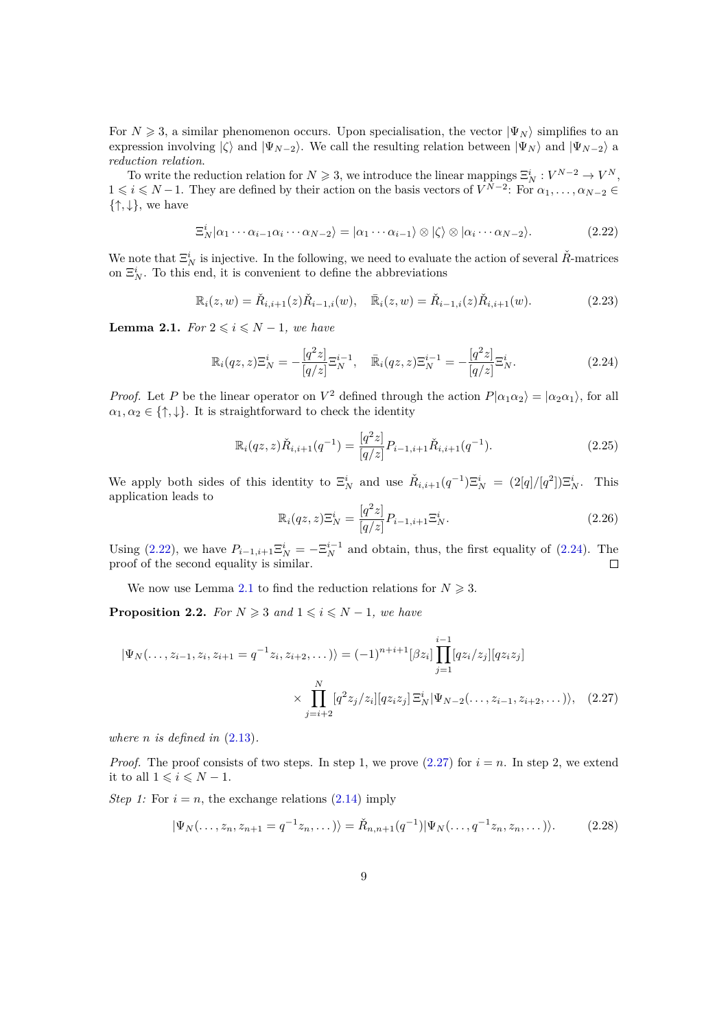For  $N \geq 3$ , a similar phenomenon occurs. Upon specialisation, the vector  $|\Psi_N\rangle$  simplifies to an expression involving  $|\zeta\rangle$  and  $|\Psi_{N-2}\rangle$ . We call the resulting relation between  $|\Psi_N\rangle$  and  $|\Psi_{N-2}\rangle$  a *reduction relation*.

To write the reduction relation for  $N \geqslant 3$ , we introduce the linear mappings  $\Xi_N^i : V^{N-2} \to V^N$ ,  $1 \leq i \leq N-1$ . They are defined by their action on the basis vectors of  $V^{N-2}$ : For  $\alpha_1, \ldots, \alpha_{N-2} \in$  $\{\uparrow,\downarrow\}$ , we have

<span id="page-8-0"></span>
$$
\Xi_N^i|\alpha_1\cdots\alpha_{i-1}\alpha_i\cdots\alpha_{N-2}\rangle = |\alpha_1\cdots\alpha_{i-1}\rangle \otimes |\zeta\rangle \otimes |\alpha_i\cdots\alpha_{N-2}\rangle. \tag{2.22}
$$

We note that  $\Xi_N^i$  is injective. In the following, we need to evaluate the action of several  $\check{R}$ <sup>-matrices</sup> on  $\Xi_N^i$ . To this end, it is convenient to define the abbreviations

$$
\mathbb{R}_{i}(z,w) = \check{R}_{i,i+1}(z)\check{R}_{i-1,i}(w), \quad \bar{\mathbb{R}}_{i}(z,w) = \check{R}_{i-1,i}(z)\check{R}_{i,i+1}(w). \tag{2.23}
$$

<span id="page-8-2"></span>**Lemma 2.1.** *For*  $2 \leq i \leq N-1$ *, we have* 

<span id="page-8-1"></span>
$$
\mathbb{R}_{i}(qz,z)\Xi_{N}^{i}=-\frac{[q^{2}z]}{[q/z]}\Xi_{N}^{i-1},\quad\bar{\mathbb{R}}_{i}(qz,z)\Xi_{N}^{i-1}=-\frac{[q^{2}z]}{[q/z]}\Xi_{N}^{i}.
$$
\n(2.24)

*Proof.* Let *P* be the linear operator on  $V^2$  defined through the action  $P|\alpha_1\alpha_2\rangle = |\alpha_2\alpha_1\rangle$ , for all  $\alpha_1, \alpha_2 \in \{\uparrow, \downarrow\}.$  It is straightforward to check the identity

$$
\mathbb{R}_{i}(qz,z)\check{R}_{i,i+1}(q^{-1}) = \frac{[q^{2}z]}{[q/z]}P_{i-1,i+1}\check{R}_{i,i+1}(q^{-1}).
$$
\n(2.25)

We apply both sides of this identity to  $\Xi_N^i$  and use  $\check{R}_{i,i+1}(q^{-1})\Xi_N^i = (2[q]/[q^2])\Xi_N^i$ . This application leads to

<span id="page-8-3"></span>
$$
\mathbb{R}_{i}(qz,z)\Xi_{N}^{i} = \frac{[q^{2}z]}{[q/z]}P_{i-1,i+1}\Xi_{N}^{i}.
$$
\n(2.26)

Using [\(2.22\)](#page-8-0), we have  $P_{i-1,i+1} \Xi_N^i = -\Xi_N^{i-1}$  and obtain, thus, the first equality of [\(2.24\)](#page-8-1). The proof of the second equality is similar.  $\Box$ 

We now use Lemma [2.1](#page-8-2) to find the reduction relations for  $N \geq 3$ .

<span id="page-8-4"></span>**Proposition 2.2.** *For*  $N \geq 3$  *and*  $1 \leq i \leq N-1$ *, we have* 

$$
|\Psi_N(\ldots, z_{i-1}, z_i, z_{i+1} = q^{-1}z_i, z_{i+2}, \ldots)\rangle = (-1)^{n+i+1} [\beta z_i] \prod_{j=1}^{i-1} [q z_i/z_j][q z_i z_j]
$$

$$
\times \prod_{j=i+2}^N [q^2 z_j/z_i][q z_i z_j] \Xi_N^i |\Psi_{N-2}(\ldots, z_{i-1}, z_{i+2}, \ldots)\rangle, \quad (2.27)
$$

*where*  $n$  *is defined in*  $(2.13)$ *.* 

*Proof.* The proof consists of two steps. In step 1, we prove  $(2.27)$  for  $i = n$ . In step 2, we extend it to all  $1 \leq i \leq N-1$ .

*Step 1:* For  $i = n$ , the exchange relations  $(2.14)$  imply

$$
|\Psi_N(\ldots, z_n, z_{n+1} = q^{-1}z_n, \ldots)\rangle = \check{R}_{n,n+1}(q^{-1})|\Psi_N(\ldots, q^{-1}z_n, z_n, \ldots)\rangle.
$$
 (2.28)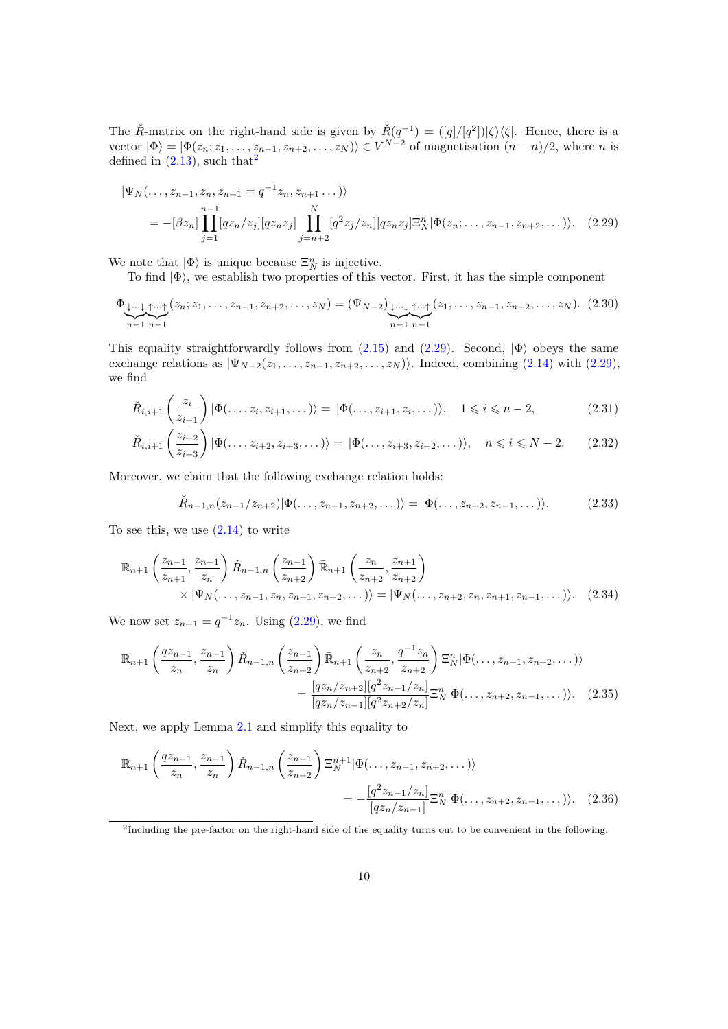The  $\check{R}$ -matrix on the right-hand side is given by  $\check{R}(q^{-1}) = (\lfloor q \rfloor / \lfloor q^2 \rfloor) \lfloor \zeta \rfloor \langle \zeta \rfloor$ . Hence, there is a vector  $|\Phi\rangle = |\Phi(z_n; z_1, \dots, z_{n-1}, z_{n+2}, \dots, z_N)\rangle \in V^{N-2}$  of magnetisation  $(\bar{n} - n)/2$ , where  $\bar{n}$  is defined in  $(2.13)$  $(2.13)$  $(2.13)$ , such that<sup>2</sup>

<span id="page-9-1"></span>
$$
|\Psi_N(\ldots, z_{n-1}, z_n, z_{n+1} = q^{-1} z_n, z_{n+1} \ldots) \rangle
$$
  
= -[\beta z\_n]  $\prod_{j=1}^{n-1} [q z_n/z_j][q z_n z_j] \prod_{j=n+2}^N [q^2 z_j/z_n][q z_n z_j] \Xi_N^n |\Phi(z_n; \ldots, z_{n-1}, z_{n+2}, \ldots) \rangle.$  (2.29)

We note that  $|\Phi\rangle$  is unique because  $\Xi_N^n$  is injective.

To find  $|\Phi\rangle$ , we establish two properties of this vector. First, it has the simple component

$$
\Phi_{\underbrace{\downarrow \cdots \downarrow}_{n-1} \underbrace{\uparrow \cdots \uparrow}_{n-1}}(z_n; z_1, \ldots, z_{n-1}, z_{n+2}, \ldots, z_N) = (\Psi_{N-2})_{\underbrace{\downarrow \cdots \downarrow}_{n-1} \underbrace{\uparrow \cdots \uparrow}_{n-1}}(z_1, \ldots, z_{n-1}, z_{n+2}, \ldots, z_N). (2.30)
$$

This equality straightforwardly follows from  $(2.15)$  and  $(2.29)$ . Second,  $|\Phi\rangle$  obeys the same exchange relations as  $|\Psi_{N-2}(z_1,\ldots,z_{n-1},z_{n+2},\ldots,z_N)\rangle$ . Indeed, combining [\(2.14\)](#page-7-1) with [\(2.29\)](#page-9-1), we find

$$
\check{R}_{i,i+1}\left(\frac{z_i}{z_{i+1}}\right)|\Phi(\ldots,z_i,z_{i+1},\ldots)\rangle = |\Phi(\ldots,z_{i+1},z_i,\ldots)\rangle, \quad 1 \leqslant i \leqslant n-2,\tag{2.31}
$$

$$
\check{R}_{i,i+1}\left(\frac{z_{i+2}}{z_{i+3}}\right)|\Phi(\ldots,z_{i+2},z_{i+3},\ldots)\rangle = |\Phi(\ldots,z_{i+3},z_{i+2},\ldots)\rangle, \quad n \leqslant i \leqslant N-2. \tag{2.32}
$$

Moreover, we claim that the following exchange relation holds:

<span id="page-9-2"></span>
$$
\check{R}_{n-1,n}(z_{n-1}/z_{n+2})|\Phi(\ldots,z_{n-1},z_{n+2},\ldots)\rangle = |\Phi(\ldots,z_{n+2},z_{n-1},\ldots)\rangle.
$$
 (2.33)

To see this, we use  $(2.14)$  to write

$$
\mathbb{R}_{n+1}\left(\frac{z_{n-1}}{z_{n+1}},\frac{z_{n-1}}{z_n}\right)\check{R}_{n-1,n}\left(\frac{z_{n-1}}{z_{n+2}}\right)\bar{\mathbb{R}}_{n+1}\left(\frac{z_n}{z_{n+2}},\frac{z_{n+1}}{z_{n+2}}\right) \times |\Psi_N(\ldots,z_{n-1},z_n,z_{n+1},z_{n+2},\ldots)\rangle = |\Psi_N(\ldots,z_{n+2},z_n,z_{n+1},z_{n-1},\ldots)\rangle. \tag{2.34}
$$

We now set  $z_{n+1} = q^{-1}z_n$ . Using [\(2.29\)](#page-9-1), we find

$$
\mathbb{R}_{n+1}\left(\frac{qz_{n-1}}{z_n},\frac{z_{n-1}}{z_n}\right)\check{R}_{n-1,n}\left(\frac{z_{n-1}}{z_{n+2}}\right)\bar{\mathbb{R}}_{n+1}\left(\frac{z_n}{z_{n+2}},\frac{q^{-1}z_n}{z_{n+2}}\right)\Xi_N^n|\Phi(\ldots,z_{n-1},z_{n+2},\ldots)\rangle
$$

$$
=\frac{[qz_n/z_{n+2}][q^2z_{n-1}/z_n]}{[qz_n/z_{n-1}][q^2z_{n+2}/z_n]}\Xi_N^n|\Phi(\ldots,z_{n+2},z_{n-1},\ldots)\rangle. \quad (2.35)
$$

Next, we apply Lemma [2.1](#page-8-2) and simplify this equality to

$$
\mathbb{R}_{n+1}\left(\frac{qz_{n-1}}{z_n},\frac{z_{n-1}}{z_n}\right)\check{R}_{n-1,n}\left(\frac{z_{n-1}}{z_{n+2}}\right)\Xi_N^{n+1}|\Phi(\ldots,z_{n-1},z_{n+2},\ldots)\rangle
$$
  
= 
$$
-\frac{[q^2z_{n-1}/z_n]}{[qz_n/z_{n-1}]}\Xi_N^{n}|\Phi(\ldots,z_{n+2},z_{n-1},\ldots)\rangle.
$$
 (2.36)

<span id="page-9-0"></span><sup>&</sup>lt;sup>2</sup>Including the pre-factor on the right-hand side of the equality turns out to be convenient in the following.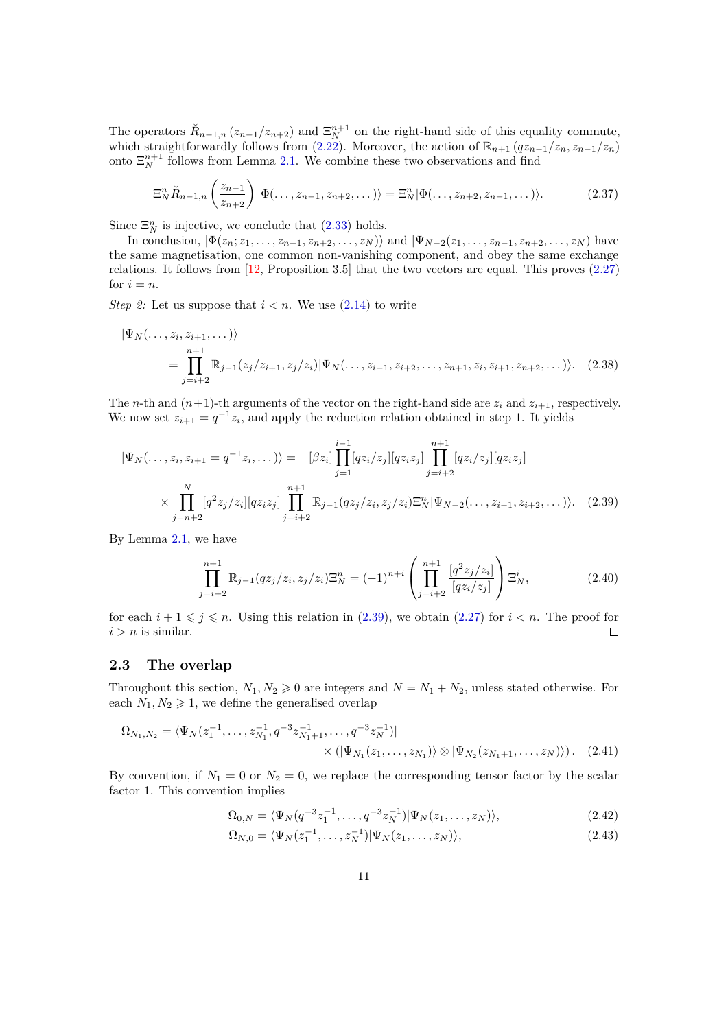The operators  $\check{R}_{n-1,n}(z_{n-1}/z_{n+2})$  and  $\Xi_N^{n+1}$  on the right-hand side of this equality commute, which straightforwardly follows from  $(2.22)$ . Moreover, the action of  $\mathbb{R}_{n+1}$   $(qz_{n-1}/z_n, z_{n-1}/z_n)$ onto  $\Xi_N^{n+1}$  follows from Lemma [2.1.](#page-8-2) We combine these two observations and find

$$
\Xi_N^n \check{R}_{n-1,n}\left(\frac{z_{n-1}}{z_{n+2}}\right) |\Phi(\ldots,z_{n-1},z_{n+2},\ldots)\rangle = \Xi_N^n |\Phi(\ldots,z_{n+2},z_{n-1},\ldots)\rangle.
$$
 (2.37)

Since  $\Xi_N^n$  is injective, we conclude that [\(2.33\)](#page-9-2) holds.

In conclusion,  $|\Phi(z_n; z_1,\ldots,z_{n-1},z_{n+2},\ldots,z_N)\rangle$  and  $|\Psi_{N-2}(z_1,\ldots,z_{n-1},z_{n+2},\ldots,z_N)\rangle$  have the same magnetisation, one common non-vanishing component, and obey the same exchange relations. It follows from  $\left| \frac{12}{2} \right|$ , Proposition 3.5 that the two vectors are equal. This proves [\(2.27\)](#page-8-3) for  $i = n$ .

*Step 2:* Let us suppose that  $i < n$ . We use  $(2.14)$  to write

$$
|\Psi_N(\ldots, z_i, z_{i+1}, \ldots)\rangle
$$
  
= 
$$
\prod_{j=i+2}^{n+1} \mathbb{R}_{j-1}(z_j/z_{i+1}, z_j/z_i) |\Psi_N(\ldots, z_{i-1}, z_{i+2}, \ldots, z_{n+1}, z_i, z_{i+1}, z_{n+2}, \ldots)\rangle.
$$
 (2.38)

The *n*-th and  $(n+1)$ -th arguments of the vector on the right-hand side are  $z_i$  and  $z_{i+1}$ , respectively. We now set  $z_{i+1} = q^{-1}z_i$ , and apply the reduction relation obtained in step 1. It yields

$$
|\Psi_N(\ldots, z_i, z_{i+1} = q^{-1}z_i, \ldots)\rangle = -[\beta z_i] \prod_{j=1}^{i-1} [q z_i/z_j][q z_i z_j] \prod_{j=i+2}^{n+1} [q z_i/z_j][q z_i z_j]
$$
  
 
$$
\times \prod_{j=n+2}^N [q^2 z_j/z_i][q z_i z_j] \prod_{j=i+2}^{n+1} \mathbb{R}_{j-1}(q z_j/z_i, z_j/z_i) \Xi_N^n |\Psi_{N-2}(\ldots, z_{i-1}, z_{i+2}, \ldots)\rangle.
$$
 (2.39)

By Lemma [2.1,](#page-8-2) we have

<span id="page-10-1"></span>
$$
\prod_{j=i+2}^{n+1} \mathbb{R}_{j-1}(qz_j/z_i, z_j/z_i) \Xi_N^n = (-1)^{n+i} \left( \prod_{j=i+2}^{n+1} \frac{[q^2z_j/z_i]}{[qz_i/z_j]} \right) \Xi_N^i,
$$
\n(2.40)

for each  $i + 1 \leq j \leq n$ . Using this relation in [\(2.39\)](#page-10-1), we obtain [\(2.27\)](#page-8-3) for  $i < n$ . The proof for  $i > n$  is similar. П

# <span id="page-10-0"></span>**2.3 The overlap**

Throughout this section,  $N_1, N_2 \geq 0$  are integers and  $N = N_1 + N_2$ , unless stated otherwise. For each  $N_1, N_2 \geq 1$ , we define the generalised overlap

$$
\Omega_{N_1,N_2} = \langle \Psi_N(z_1^{-1}, \dots, z_{N_1}^{-1}, q^{-3} z_{N_1+1}^{-1}, \dots, q^{-3} z_N^{-1})|
$$
  
 
$$
\times (\langle \Psi_{N_1}(z_1, \dots, z_{N_1}) \rangle \otimes \langle \Psi_{N_2}(z_{N_1+1}, \dots, z_N) \rangle).
$$
 (2.41)

By convention, if  $N_1 = 0$  or  $N_2 = 0$ , we replace the corresponding tensor factor by the scalar factor 1. This convention implies

<span id="page-10-2"></span>
$$
\Omega_{0,N} = \langle \Psi_N(q^{-3}z_1^{-1}, \dots, q^{-3}z_N^{-1}) | \Psi_N(z_1, \dots, z_N) \rangle, \tag{2.42}
$$

$$
\Omega_{N,0} = \langle \Psi_N(z_1^{-1}, \dots, z_N^{-1}) | \Psi_N(z_1, \dots, z_N) \rangle, \tag{2.43}
$$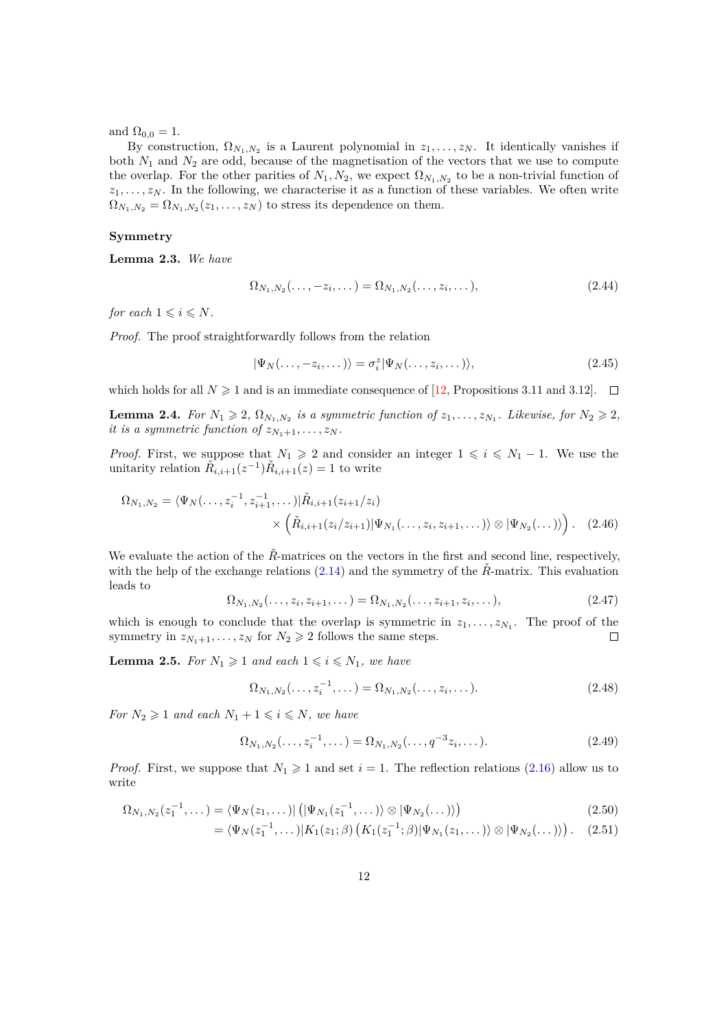and  $\Omega_{0,0} = 1$ .

By construction,  $\Omega_{N_1,N_2}$  is a Laurent polynomial in  $z_1,\ldots,z_N$ . It identically vanishes if both *N*<sup>1</sup> and *N*<sup>2</sup> are odd, because of the magnetisation of the vectors that we use to compute the overlap. For the other parities of  $N_1, N_2$ , we expect  $\Omega_{N_1,N_2}$  to be a non-trivial function of *z*1*, . . . , z<sup>N</sup>* . In the following, we characterise it as a function of these variables. We often write  $\Omega_{N_1,N_2} = \Omega_{N_1,N_2}(z_1,\ldots,z_N)$  to stress its dependence on them.

### **Symmetry**

<span id="page-11-4"></span>**Lemma 2.3.** *We have*

$$
\Omega_{N_1,N_2}(\ldots,-z_i,\ldots) = \Omega_{N_1,N_2}(\ldots,z_i,\ldots),\tag{2.44}
$$

*for each*  $1 \leq i \leq N$ *.* 

*Proof.* The proof straightforwardly follows from the relation

$$
|\Psi_N(\ldots, -z_i, \ldots)\rangle = \sigma_i^z |\Psi_N(\ldots, z_i, \ldots)\rangle, \qquad (2.45)
$$

which holds for all  $N \geq 1$  and is an immediate consequence of [\[12,](#page-28-0) Propositions 3.11 and 3.12].  $\Box$ 

<span id="page-11-1"></span>**Lemma 2.4.** For  $N_1 \geq 2$ ,  $\Omega_{N_1,N_2}$  is a symmetric function of  $z_1, \ldots, z_{N_1}$ . Likewise, for  $N_2 \geq 2$ , *it is a symmetric function of*  $z_{N_1+1}, \ldots, z_N$ .

*Proof.* First, we suppose that  $N_1 \geq 2$  and consider an integer  $1 \leq i \leq N_1 - 1$ . We use the unitarity relation  $\check{R}_{i,i+1}(z^{-1})\check{R}_{i,i+1}(z) = 1$  to write

$$
\Omega_{N_1,N_2} = \langle \Psi_N(\ldots, z_i^{-1}, z_{i+1}^{-1}, \ldots) | \check{R}_{i,i+1}(z_{i+1}/z_i) \times \left( \check{R}_{i,i+1}(z_i/z_{i+1}) | \Psi_{N_1}(\ldots, z_i, z_{i+1}, \ldots) \rangle \otimes | \Psi_{N_2}(\ldots) \rangle \right). \tag{2.46}
$$

We evaluate the action of the  $R̃$ -matrices on the vectors in the first and second line, respectively, with the help of the exchange relations  $(2.14)$  and the symmetry of the  $\tilde{R}$ -matrix. This evaluation leads to

$$
\Omega_{N_1,N_2}(\ldots,z_i,z_{i+1},\ldots) = \Omega_{N_1,N_2}(\ldots,z_{i+1},z_i,\ldots),\tag{2.47}
$$

which is enough to conclude that the overlap is symmetric in  $z_1, \ldots, z_{N_1}$ . The proof of the symmetry in  $z_{N_1+1}, \ldots, z_N$  for  $N_2 \geq 2$  follows the same steps. □

<span id="page-11-3"></span>**Lemma 2.5.** *For*  $N_1 \geq 1$  *and each*  $1 \leq i \leq N_1$ *, we have* 

<span id="page-11-2"></span><span id="page-11-0"></span>
$$
\Omega_{N_1,N_2}(\ldots,z_i^{-1},\ldots) = \Omega_{N_1,N_2}(\ldots,z_i,\ldots).
$$
\n(2.48)

*For*  $N_2 \geq 1$  *and each*  $N_1 + 1 \leq i \leq N$ *, we have* 

$$
\Omega_{N_1,N_2}(\ldots,z_i^{-1},\ldots) = \Omega_{N_1,N_2}(\ldots,q^{-3}z_i,\ldots). \tag{2.49}
$$

*Proof.* First, we suppose that  $N_1 \geq 1$  and set  $i = 1$ . The reflection relations [\(2.16\)](#page-7-2) allow us to write

$$
\Omega_{N_1,N_2}(z_1^{-1},\dots) = \langle \Psi_N(z_1,\dots) | \left( |\Psi_{N_1}(z_1^{-1},\dots) \rangle \otimes |\Psi_{N_2}(\dots) \rangle \right) \tag{2.50}
$$

$$
= \langle \Psi_N(z_1^{-1}, \dots) | K_1(z_1; \beta) \left( K_1(z_1^{-1}; \beta) | \Psi_{N_1}(z_1, \dots) \right) \otimes | \Psi_{N_2}(\dots) \rangle \rangle. \tag{2.51}
$$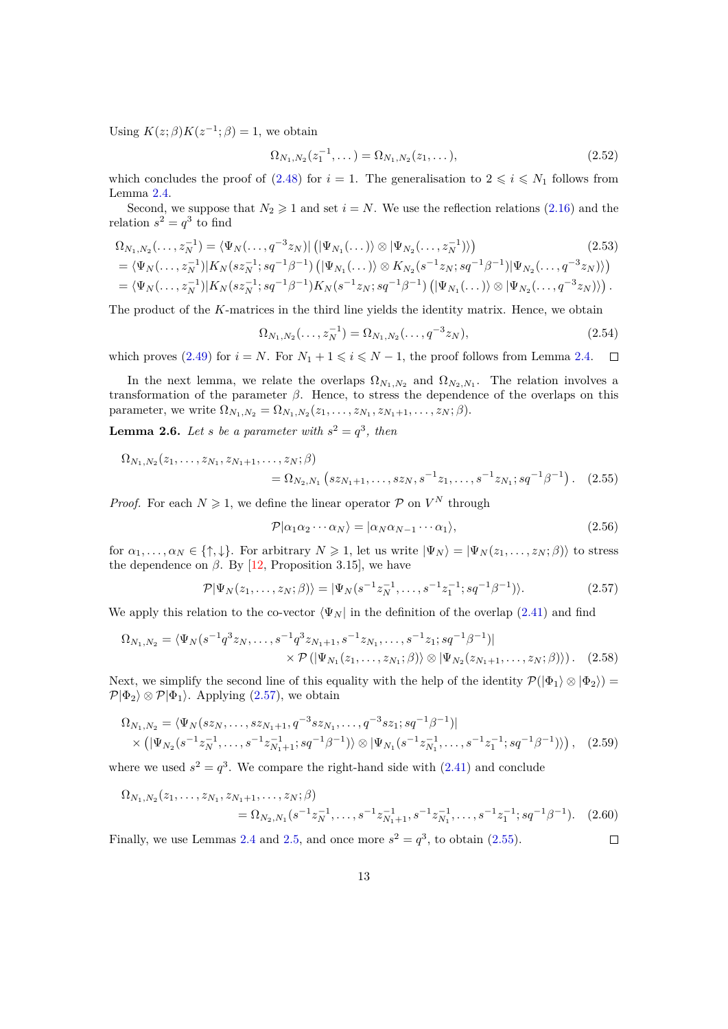Using  $K(z; \beta)K(z^{-1}; \beta) = 1$ , we obtain

$$
\Omega_{N_1,N_2}(z_1^{-1},\dots) = \Omega_{N_1,N_2}(z_1,\dots),\tag{2.52}
$$

which concludes the proof of [\(2.48\)](#page-11-0) for  $i = 1$ . The generalisation to  $2 \leq i \leq N_1$  follows from Lemma [2.4.](#page-11-1)

Second, we suppose that  $N_2 \geq 1$  and set  $i = N$ . We use the reflection relations [\(2.16\)](#page-7-2) and the relation  $s^2 = q^3$  to find

$$
\Omega_{N_1,N_2}(\ldots,z_N^{-1}) = \langle \Psi_N(\ldots,q^{-3}z_N) | \left( |\Psi_{N_1}(\ldots)\rangle \otimes |\Psi_{N_2}(\ldots,z_N^{-1})\rangle \right) \tag{2.53}
$$
\n
$$
= \langle \Psi_N(\ldots,z_N^{-1}) | K_N(sz_N^{-1};sq^{-1}\beta^{-1}) \left( |\Psi_{N_1}(\ldots)\rangle \otimes K_{N_2}(s^{-1}z_N;sq^{-1}\beta^{-1}) |\Psi_{N_2}(\ldots,q^{-3}z_N)\rangle \right)
$$
\n
$$
= \langle \Psi_N(\ldots,z_N^{-1}) | K_N(sz_N^{-1};sq^{-1}\beta^{-1}) K_N(s^{-1}z_N;sq^{-1}\beta^{-1}) \left( |\Psi_{N_1}(\ldots)\rangle \otimes |\Psi_{N_2}(\ldots,q^{-3}z_N)\rangle \right).
$$

The product of the *K*-matrices in the third line yields the identity matrix. Hence, we obtain

$$
\Omega_{N_1,N_2}(\ldots,z_N^{-1}) = \Omega_{N_1,N_2}(\ldots,q^{-3}z_N),\tag{2.54}
$$

which proves [\(2.49\)](#page-11-2) for  $i = N$ . For  $N_1 + 1 \leq i \leq N - 1$ , the proof follows from Lemma [2.4.](#page-11-1)  $\Box$ 

In the next lemma, we relate the overlaps  $\Omega_{N_1,N_2}$  and  $\Omega_{N_2,N_1}$ . The relation involves a transformation of the parameter *β*. Hence, to stress the dependence of the overlaps on this parameter, we write  $\Omega_{N_1,N_2} = \Omega_{N_1,N_2}(z_1,\ldots,z_{N_1},z_{N_1+1},\ldots,z_N;\beta)$ .

<span id="page-12-2"></span>**Lemma 2.6.** Let *s* be a parameter with  $s^2 = q^3$ , then

$$
\Omega_{N_1,N_2}(z_1,\ldots,z_{N_1},z_{N_1+1},\ldots,z_N;\beta) = \Omega_{N_2,N_1}\left(sz_{N_1+1},\ldots,sz_N,s^{-1}z_1,\ldots,s^{-1}z_{N_1};sq^{-1}\beta^{-1}\right). \tag{2.55}
$$

*Proof.* For each  $N \geq 1$ , we define the linear operator  $P$  on  $V^N$  through

<span id="page-12-1"></span><span id="page-12-0"></span>
$$
\mathcal{P}|\alpha_1\alpha_2\cdots\alpha_N\rangle = |\alpha_N\alpha_{N-1}\cdots\alpha_1\rangle, \tag{2.56}
$$

for  $\alpha_1, \ldots, \alpha_N \in \{\uparrow, \downarrow\}$ . For arbitrary  $N \geq 1$ , let us write  $|\Psi_N\rangle = |\Psi_N(z_1, \ldots, z_N; \beta)\rangle$  to stress the dependence on  $\beta$ . By [\[12,](#page-28-0) Proposition 3.15], we have

$$
\mathcal{P}|\Psi_N(z_1,\ldots,z_N;\beta)\rangle = |\Psi_N(s^{-1}z_N^{-1},\ldots,s^{-1}z_1^{-1};sq^{-1}\beta^{-1})\rangle.
$$
 (2.57)

We apply this relation to the co-vector  $\langle \Psi_N |$  in the definition of the overlap [\(2.41\)](#page-10-2) and find

$$
\Omega_{N_1,N_2} = \langle \Psi_N(s^{-1}q^3 z_N, \dots, s^{-1}q^3 z_{N_1+1}, s^{-1} z_{N_1}, \dots, s^{-1} z_1; sq^{-1}\beta^{-1})| \times \mathcal{P}(|\Psi_{N_1}(z_1, \dots, z_{N_1}; \beta) \rangle \otimes |\Psi_{N_2}(z_{N_1+1}, \dots, z_N; \beta) \rangle). \tag{2.58}
$$

Next, we simplify the second line of this equality with the help of the identity  $\mathcal{P}(|\Phi_1\rangle \otimes |\Phi_2\rangle) =$  $\mathcal{P}|\Phi_2\rangle \otimes \mathcal{P}|\Phi_1\rangle$ . Applying [\(2.57\)](#page-12-0), we obtain

$$
\Omega_{N_1,N_2} = \langle \Psi_N(sz_N, \dots, sz_{N_1+1}, q^{-3}sz_{N_1}, \dots, q^{-3}sz_1; sq^{-1}\beta^{-1})|
$$
  
 
$$
\times \left( |\Psi_{N_2}(s^{-1}z_N^{-1}, \dots, s^{-1}z_{N_1+1}^{-1}; sq^{-1}\beta^{-1}) \right) \otimes |\Psi_{N_1}(s^{-1}z_{N_1}^{-1}, \dots, s^{-1}z_1^{-1}; sq^{-1}\beta^{-1})\rangle), \quad (2.59)
$$

where we used  $s^2 = q^3$ . We compare the right-hand side with  $(2.41)$  and conclude

$$
\Omega_{N_1,N_2}(z_1,\ldots,z_{N_1},z_{N_1+1},\ldots,z_N;\beta) = \Omega_{N_2,N_1}(s^{-1}z_{N_1}^{-1},\ldots,s^{-1}z_{N_1+1}^{-1},s^{-1}z_{N_1}^{-1},\ldots,s^{-1}z_1^{-1};sq^{-1}\beta^{-1}).
$$
 (2.60)

Finally, we use Lemmas [2.4](#page-11-1) and [2.5,](#page-11-3) and once more  $s^2 = q^3$ , to obtain [\(2.55\)](#page-12-1).  $\Box$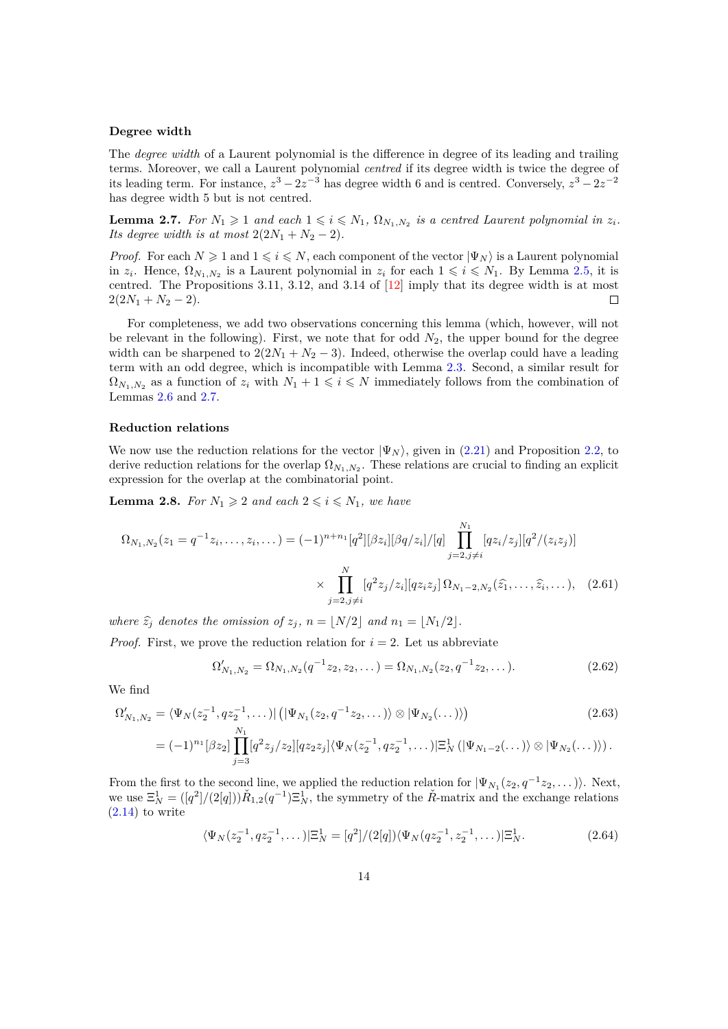#### **Degree width**

The *degree width* of a Laurent polynomial is the difference in degree of its leading and trailing terms. Moreover, we call a Laurent polynomial *centred* if its degree width is twice the degree of its leading term. For instance,  $z^3 - 2z^{-3}$  has degree width 6 and is centred. Conversely,  $z^3 - 2z^{-2}$ has degree width 5 but is not centred.

<span id="page-13-0"></span>**Lemma 2.7.** For  $N_1 \geq 1$  and each  $1 \leq i \leq N_1$ ,  $\Omega_{N_1,N_2}$  is a centred Laurent polynomial in  $z_i$ . *Its degree width is at most*  $2(2N_1 + N_2 - 2)$ *.* 

*Proof.* For each  $N \geq 1$  and  $1 \leq i \leq N$ , each component of the vector  $|\Psi_N\rangle$  is a Laurent polynomial in  $z_i$ . Hence,  $\Omega_{N_1,N_2}$  is a Laurent polynomial in  $z_i$  for each  $1 \leq i \leq N_1$ . By Lemma [2.5,](#page-11-3) it is centred. The Propositions 3.11, 3.12, and 3.14 of [\[12\]](#page-28-0) imply that its degree width is at most  $2(2N_1 + N_2 - 2).$  $\Box$ 

For completeness, we add two observations concerning this lemma (which, however, will not be relevant in the following). First, we note that for odd  $N_2$ , the upper bound for the degree width can be sharpened to  $2(2N_1 + N_2 - 3)$ . Indeed, otherwise the overlap could have a leading term with an odd degree, which is incompatible with Lemma [2.3.](#page-11-4) Second, a similar result for  $\Omega_{N_1,N_2}$  as a function of  $z_i$  with  $N_1 + 1 \leqslant i \leqslant N$  immediately follows from the combination of Lemmas [2.6](#page-12-2) and [2.7.](#page-13-0)

#### **Reduction relations**

We now use the reduction relations for the vector  $|\Psi_N\rangle$ , given in [\(2.21\)](#page-7-4) and Proposition [2.2,](#page-8-4) to derive reduction relations for the overlap  $\Omega_{N_1,N_2}$ . These relations are crucial to finding an explicit expression for the overlap at the combinatorial point.

<span id="page-13-3"></span>**Lemma 2.8.** *For*  $N_1 \geq 2$  *and each*  $2 \leq i \leq N_1$ *, we have* 

$$
\Omega_{N_1,N_2}(z_1 = q^{-1}z_1, \dots, z_i, \dots) = (-1)^{n+n_1}[q^2][\beta z_i][\beta q/z_i]/[q] \prod_{j=2, j \neq i}^{N_1} [qz_i/z_j][q^2/(z_i z_j)]
$$

$$
\times \prod_{j=2, j \neq i}^{N} [q^2 z_j/z_i][qz_i z_j] \Omega_{N_1-2,N_2}(\hat{z}_1, \dots, \hat{z}_i, \dots), \quad (2.61)
$$

*where*  $\hat{z}_i$  *denotes the omission of*  $z_i$ ,  $n = |N/2|$  *and*  $n_1 = |N_1/2|$ *.* 

*Proof.* First, we prove the reduction relation for  $i = 2$ . Let us abbreviate

<span id="page-13-2"></span><span id="page-13-1"></span>
$$
\Omega'_{N_1,N_2} = \Omega_{N_1,N_2}(q^{-1}z_2, z_2, \dots) = \Omega_{N_1,N_2}(z_2, q^{-1}z_2, \dots). \tag{2.62}
$$

We find

$$
\Omega'_{N_1,N_2} = \langle \Psi_N(z_2^{-1}, qz_2^{-1}, \dots) | \left( |\Psi_{N_1}(z_2, q^{-1}z_2, \dots) \rangle \otimes |\Psi_{N_2}(\dots) \rangle \right) \tag{2.63}
$$
\n
$$
= (-1)^{n_1} [\beta z_2] \prod_{j=3}^{N_1} [q^2 z_j / z_2] [q z_2 z_j] \langle \Psi_N(z_2^{-1}, qz_2^{-1}, \dots) | \Xi_N^1 \left( |\Psi_{N_1-2}(\dots) \rangle \otimes |\Psi_{N_2}(\dots) \rangle \right).
$$

From the first to the second line, we applied the reduction relation for  $|\Psi_{N_1}(z_2, q^{-1}z_2, \dots)\rangle$ . Next, we use  $\Xi_N^1 = (\frac{q^2}{2q})\tilde{R}_{1,2}(q^{-1})\Xi_N^1$ , the symmetry of the  $\tilde{R}$ -matrix and the exchange relations  $(2.14)$  to write

$$
\langle \Psi_N(z_2^{-1}, q z_2^{-1}, \dots) | \Xi_N^1 = [q^2] / (2[q]) \langle \Psi_N(q z_2^{-1}, z_2^{-1}, \dots) | \Xi_N^1. \tag{2.64}
$$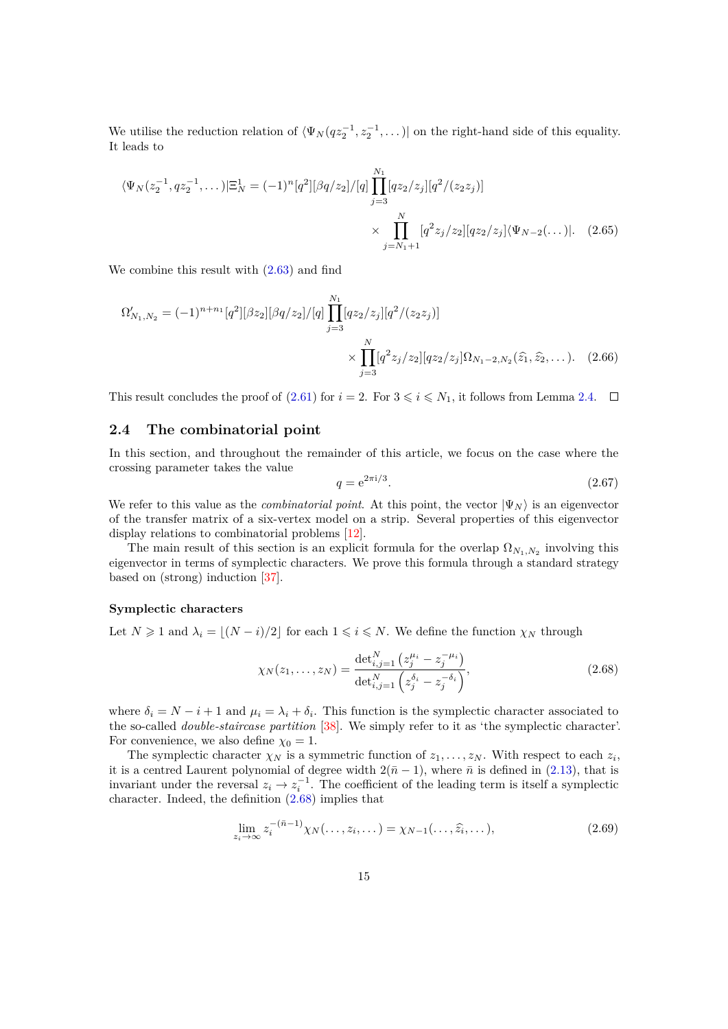We utilise the reduction relation of  $\langle \Psi_N(qz_2^{-1}, z_2^{-1}, \dots) |$  on the right-hand side of this equality. It leads to

$$
\langle \Psi_N(z_2^{-1}, qz_2^{-1}, \dots) | \Xi_N^1 = (-1)^n [q^2] [\beta q/z_2] / [q] \prod_{j=3}^{N_1} [qz_2/z_j] [q^2/(z_2 z_j)]
$$

$$
\times \prod_{j=N_1+1}^N [q^2 z_j/z_2] [qz_2/z_j] \langle \Psi_{N-2}(\dots) |. \quad (2.65)
$$

We combine this result with [\(2.63\)](#page-13-1) and find

$$
\Omega'_{N_1,N_2} = (-1)^{n+n_1} [q^2] [\beta z_2] [\beta q/z_2] / [q] \prod_{j=3}^{N_1} [q z_2/z_j] [q^2/(z_2 z_j)]
$$

$$
\times \prod_{j=3}^N [q^2 z_j/z_2] [q z_2/z_j] \Omega_{N_1-2,N_2}(\hat{z}_1, \hat{z}_2, \dots). \quad (2.66)
$$

This result concludes the proof of [\(2.61\)](#page-13-2) for  $i = 2$ . For  $3 \leq i \leq N_1$ , it follows from Lemma [2.4.](#page-11-1)  $\Box$ 

# <span id="page-14-0"></span>**2.4 The combinatorial point**

In this section, and throughout the remainder of this article, we focus on the case where the crossing parameter takes the value

<span id="page-14-1"></span>
$$
q = e^{2\pi i/3}.
$$
\n(2.67)

We refer to this value as the *combinatorial point*. At this point, the vector  $|\Psi_N\rangle$  is an eigenvector of the transfer matrix of a six-vertex model on a strip. Several properties of this eigenvector display relations to combinatorial problems [\[12\]](#page-28-0).

The main result of this section is an explicit formula for the overlap  $\Omega_{N_1,N_2}$  involving this eigenvector in terms of symplectic characters. We prove this formula through a standard strategy based on (strong) induction [\[37\]](#page-29-6).

#### **Symplectic characters**

Let  $N \geq 1$  and  $\lambda_i = \lfloor (N - i)/2 \rfloor$  for each  $1 \leq i \leq N$ . We define the function  $\chi_N$  through

$$
\chi_N(z_1, \dots, z_N) = \frac{\det_{i,j=1}^N \left( z_j^{\mu_i} - z_j^{-\mu_i} \right)}{\det_{i,j=1}^N \left( z_j^{\delta_i} - z_j^{-\delta_i} \right)},\tag{2.68}
$$

where  $\delta_i = N - i + 1$  and  $\mu_i = \lambda_i + \delta_i$ . This function is the symplectic character associated to the so-called *double-staircase partition* [\[38\]](#page-29-7). We simply refer to it as 'the symplectic character'. For convenience, we also define  $\chi_0 = 1$ .

The symplectic character  $\chi_N$  is a symmetric function of  $z_1, \ldots, z_N$ . With respect to each  $z_i$ , it is a centred Laurent polynomial of degree width  $2(\bar{n}-1)$ , where  $\bar{n}$  is defined in [\(2.13\)](#page-6-3), that is invariant under the reversal  $z_i \to z_i^{-1}$ . The coefficient of the leading term is itself a symplectic character. Indeed, the definition [\(2.68\)](#page-14-1) implies that

<span id="page-14-2"></span>
$$
\lim_{z_i \to \infty} z_i^{-(\bar{n}-1)} \chi_N(\ldots, z_i, \ldots) = \chi_{N-1}(\ldots, \widehat{z}_i, \ldots),\tag{2.69}
$$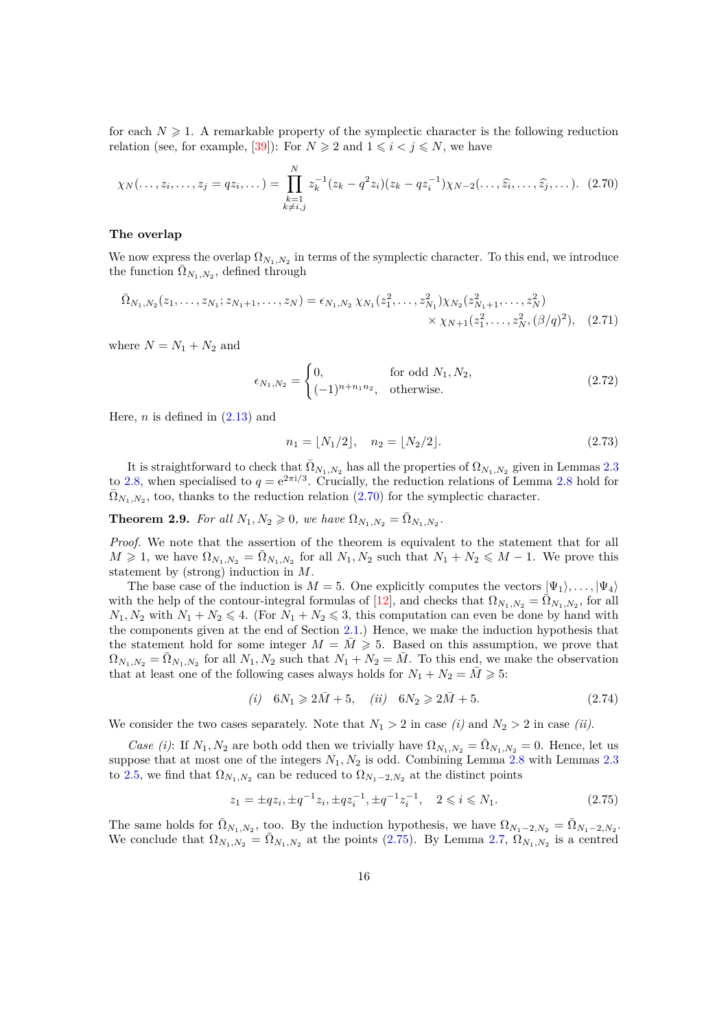for each  $N \geq 1$ . A remarkable property of the symplectic character is the following reduction relation (see, for example, [\[39\]](#page-29-8)): For  $N \ge 2$  and  $1 \le i \le j \le N$ , we have

$$
\chi_N(\ldots, z_i, \ldots, z_j = qz_i, \ldots) = \prod_{\substack{k=1\\k \neq i,j}}^N z_k^{-1} (z_k - q^2 z_i)(z_k - qz_i^{-1}) \chi_{N-2}(\ldots, \widehat{z_i}, \ldots, \widehat{z_j}, \ldots). \tag{2.70}
$$

### **The overlap**

We now express the overlap  $\Omega_{N_1,N_2}$  in terms of the symplectic character. To this end, we introduce the function  $\bar{\Omega}_{N_1,N_2}$ , defined through

$$
\bar{\Omega}_{N_1,N_2}(z_1,\ldots,z_{N_1};z_{N_1+1},\ldots,z_N) = \epsilon_{N_1,N_2} \chi_{N_1}(z_1^2,\ldots,z_{N_1}^2) \chi_{N_2}(z_{N_1+1}^2,\ldots,z_N^2) \times \chi_{N+1}(z_1^2,\ldots,z_N^2,(\beta/q)^2),
$$
\n(2.71)

where  $N = N_1 + N_2$  and

<span id="page-15-0"></span>
$$
\epsilon_{N_1,N_2} = \begin{cases} 0, & \text{for odd } N_1, N_2, \\ (-1)^{n+n_1 n_2}, & \text{otherwise.} \end{cases} \tag{2.72}
$$

Here,  $n$  is defined in  $(2.13)$  and

<span id="page-15-3"></span>
$$
n_1 = \lfloor N_1/2 \rfloor, \quad n_2 = \lfloor N_2/2 \rfloor. \tag{2.73}
$$

It is straightforward to check that  $\overline{\Omega}_{N_1,N_2}$  has all the properties of  $\Omega_{N_1,N_2}$  given in Lemmas [2.3](#page-11-4) to [2.8,](#page-13-3) when specialised to  $q = e^{2\pi i/3}$ . Crucially, the reduction relations of Lemma [2.8](#page-13-3) hold for  $\bar{\Omega}_{N_1,N_2}$ , too, thanks to the reduction relation [\(2.70\)](#page-15-0) for the symplectic character.

<span id="page-15-4"></span>**Theorem 2.9.** *For all*  $N_1, N_2 \ge 0$ *, we have*  $\Omega_{N_1, N_2} = \overline{\Omega}_{N_1, N_2}$ .

*Proof.* We note that the assertion of the theorem is equivalent to the statement that for all  $M \geq 1$ , we have  $\Omega_{N_1,N_2} = \overline{\Omega}_{N_1,N_2}$  for all  $N_1, N_2$  such that  $N_1 + N_2 \leq M - 1$ . We prove this statement by (strong) induction in *M*.

The base case of the induction is  $M = 5$ . One explicitly computes the vectors  $|\Psi_1\rangle, \ldots, |\Psi_4\rangle$ with the help of the contour-integral formulas of [\[12\]](#page-28-0), and checks that  $\Omega_{N_1,N_2} = \overline{\Omega}_{N_1,N_2}$ , for all  $N_1, N_2$  with  $N_1 + N_2 \leq 4$ . (For  $N_1 + N_2 \leq 3$ , this computation can even be done by hand with the components given at the end of Section [2.1.](#page-5-0)) Hence, we make the induction hypothesis that the statement hold for some integer  $M = M \geq 5$ . Based on this assumption, we prove that  $\Omega_{N_1,N_2} = \overline{\Omega}_{N_1,N_2}$  for all  $N_1, N_2$  such that  $N_1 + N_2 = \overline{M}$ . To this end, we make the observation that at least one of the following cases always holds for  $N_1 + N_2 = M \geq 5$ :

<span id="page-15-2"></span><span id="page-15-1"></span>
$$
(i) 6N_1 \geq 2\bar{M} + 5, \quad (ii) 6N_2 \geq 2\bar{M} + 5. \tag{2.74}
$$

We consider the two cases separately. Note that  $N_1 > 2$  in case *(i)* and  $N_2 > 2$  in case *(ii)*.

*Case (i)*: If  $N_1, N_2$  are both odd then we trivially have  $\Omega_{N_1,N_2} = \overline{\Omega}_{N_1,N_2} = 0$ . Hence, let us suppose that at most one of the integers *N*1*, N*<sup>2</sup> is odd. Combining Lemma [2.8](#page-13-3) with Lemmas [2.3](#page-11-4) to [2.5,](#page-11-3) we find that  $\Omega_{N_1,N_2}$  can be reduced to  $\Omega_{N_1-2,N_2}$  at the distinct points

$$
z_1 = \pm q z_i, \pm q^{-1} z_i, \pm q z_i^{-1}, \pm q^{-1} z_i^{-1}, \quad 2 \leq i \leq N_1. \tag{2.75}
$$

The same holds for  $\overline{\Omega}_{N_1,N_2}$ , too. By the induction hypothesis, we have  $\Omega_{N_1-2,N_2} = \overline{\Omega}_{N_1-2,N_2}$ . We conclude that  $\Omega_{N_1,N_2} = \overline{\Omega}_{N_1,N_2}$  at the points [\(2.75\)](#page-15-1). By Lemma [2.7,](#page-13-0)  $\Omega_{N_1,N_2}$  is a centred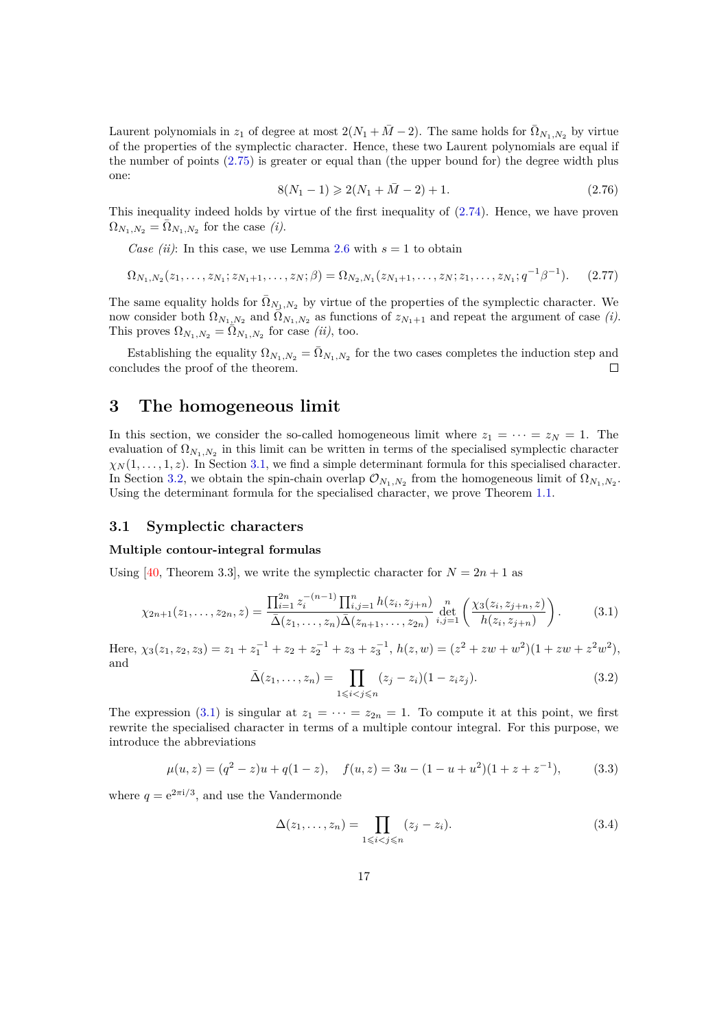Laurent polynomials in  $z_1$  of degree at most  $2(N_1 + \overline{M} - 2)$ . The same holds for  $\overline{\Omega}_{N_1,N_2}$  by virtue of the properties of the symplectic character. Hence, these two Laurent polynomials are equal if the number of points [\(2.75\)](#page-15-1) is greater or equal than (the upper bound for) the degree width plus one:

$$
8(N_1 - 1) \ge 2(N_1 + \bar{M} - 2) + 1. \tag{2.76}
$$

This inequality indeed holds by virtue of the first inequality of [\(2.74\)](#page-15-2). Hence, we have proven  $\Omega_{N_1,N_2} = \overline{\Omega}_{N_1,N_2}$  for the case *(i)*.

*Case (ii)*: In this case, we use Lemma [2.6](#page-12-2) with  $s = 1$  to obtain

$$
\Omega_{N_1,N_2}(z_1,\ldots,z_{N_1};z_{N_1+1},\ldots,z_N;\beta) = \Omega_{N_2,N_1}(z_{N_1+1},\ldots,z_N;z_1,\ldots,z_{N_1};q^{-1}\beta^{-1}).\tag{2.77}
$$

The same equality holds for  $\overline{\Omega}_{N_1,N_2}$  by virtue of the properties of the symplectic character. We now consider both  $\Omega_{N_1,N_2}$  and  $\overline{\Omega}_{N_1,N_2}$  as functions of  $z_{N_1+1}$  and repeat the argument of case *(i)*. This proves  $\Omega_{N_1,N_2} = \Omega_{N_1,N_2}$  for case *(ii)*, too.

Establishing the equality  $\Omega_{N_1,N_2} = \overline{\Omega}_{N_1,N_2}$  for the two cases completes the induction step and concludes the proof of the theorem.  $\Box$ 

# <span id="page-16-0"></span>**3 The homogeneous limit**

In this section, we consider the so-called homogeneous limit where  $z_1 = \cdots = z_N = 1$ . The evaluation of  $\Omega_{N_1,N_2}$  in this limit can be written in terms of the specialised symplectic character  $\chi_N(1,\ldots,1,z)$ . In Section [3.1,](#page-16-1) we find a simple determinant formula for this specialised character. In Section [3.2,](#page-20-0) we obtain the spin-chain overlap  $\mathcal{O}_{N_1,N_2}$  from the homogeneous limit of  $\Omega_{N_1,N_2}$ . Using the determinant formula for the specialised character, we prove Theorem [1.1.](#page-3-0)

### <span id="page-16-1"></span>**3.1 Symplectic characters**

#### **Multiple contour-integral formulas**

Using [\[40,](#page-29-9) Theorem 3.3], we write the symplectic character for  $N = 2n + 1$  as

$$
\chi_{2n+1}(z_1,\ldots,z_{2n},z) = \frac{\prod_{i=1}^{2n} z_i^{-(n-1)} \prod_{i,j=1}^n h(z_i,z_{j+n})}{\bar{\Delta}(z_1,\ldots,z_n) \bar{\Delta}(z_{n+1},\ldots,z_{2n})} \det_{i,j=1}^n \left(\frac{\chi_3(z_i,z_{j+n},z)}{h(z_i,z_{j+n})}\right).
$$
(3.1)

Here,  $\chi_3(z_1, z_2, z_3) = z_1 + z_1^{-1} + z_2 + z_2^{-1} + z_3 + z_3^{-1}$ ,  $h(z, w) = (z^2 + zw + w^2)(1 + zw + z^2w^2)$ , and

<span id="page-16-2"></span>
$$
\bar{\Delta}(z_1, ..., z_n) = \prod_{1 \le i < j \le n} (z_j - z_i)(1 - z_i z_j). \tag{3.2}
$$

The expression [\(3.1\)](#page-16-2) is singular at  $z_1 = \cdots = z_{2n} = 1$ . To compute it at this point, we first rewrite the specialised character in terms of a multiple contour integral. For this purpose, we introduce the abbreviations

$$
\mu(u, z) = (q^2 - z)u + q(1 - z), \quad f(u, z) = 3u - (1 - u + u^2)(1 + z + z^{-1}), \tag{3.3}
$$

<span id="page-16-3"></span>where  $q = e^{2\pi i/3}$ , and use the Vandermonde

$$
\Delta(z_1,\ldots,z_n) = \prod_{1 \leqslant i < j \leqslant n} (z_j - z_i). \tag{3.4}
$$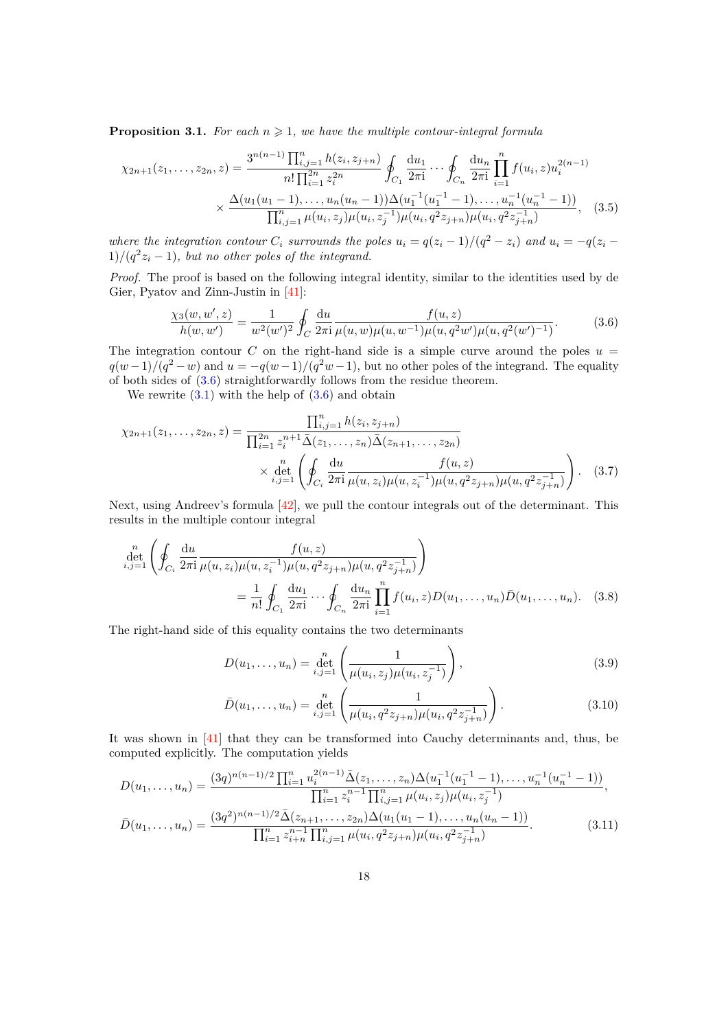**Proposition 3.1.** For each  $n \geq 1$ , we have the multiple contour-integral formula

$$
\chi_{2n+1}(z_1,\ldots,z_{2n},z) = \frac{3^{n(n-1)}\prod_{i,j=1}^n h(z_i,z_{j+n})}{n!\prod_{i=1}^{2n} z_i^{2n}} \oint_{C_1} \frac{du_1}{2\pi i} \cdots \oint_{C_n} \frac{du_n}{2\pi i} \prod_{i=1}^n f(u_i,z) u_i^{2(n-1)} \times \frac{\Delta(u_1(u_1-1),\ldots,u_n(u_n-1))\Delta(u_1^{-1}(u_1^{-1}-1),\ldots,u_n^{-1}(u_n^{-1}-1))}{\prod_{i,j=1}^n \mu(u_i,z_j)\mu(u_i,z_j^{-1})\mu(u_i,q^2z_{j+n})\mu(u_i,q^2z_{j+n}^{-1})},
$$
(3.5)

where the integration contour  $C_i$  surrounds the poles  $u_i = q(z_i - 1)/(q^2 - z_i)$  and  $u_i = -q(z_i - 1)$  $1)/(q^2z_i-1)$ , but no other poles of the integrand.

*Proof.* The proof is based on the following integral identity, similar to the identities used by de Gier, Pyatov and Zinn-Justin in [\[41\]](#page-29-10):

<span id="page-17-3"></span><span id="page-17-0"></span>
$$
\frac{\chi_3(w, w', z)}{h(w, w')} = \frac{1}{w^2(w')^2} \oint_C \frac{\mathrm{d}u}{2\pi \mathrm{i}} \frac{f(u, z)}{\mu(u, w)\mu(u, w^{-1})\mu(u, q^2w')\mu(u, q^2(w')^{-1})}.\tag{3.6}
$$

The integration contour  $C$  on the right-hand side is a simple curve around the poles  $u =$  $q(w-1)/(q^2-w)$  and  $u = -q(w-1)/(q^2w-1)$ , but no other poles of the integrand. The equality of both sides of [\(3.6\)](#page-17-0) straightforwardly follows from the residue theorem.

We rewrite  $(3.1)$  with the help of  $(3.6)$  and obtain

$$
\chi_{2n+1}(z_1,\ldots,z_{2n},z) = \frac{\prod_{i,j=1}^n h(z_i,z_{j+n})}{\prod_{i=1}^{2n} z_i^{n+1} \bar{\Delta}(z_1,\ldots,z_n) \bar{\Delta}(z_{n+1},\ldots,z_{2n})} \times \det_{i,j=1}^n \left( \oint_{C_i} \frac{\mathrm{d}u}{2\pi i} \frac{f(u,z)}{\mu(u,z_i)\mu(u,z_i^{-1})\mu(u,q^2 z_{j+n})\mu(u,q^2 z_{j+n}^{-1})} \right). \tag{3.7}
$$

Next, using Andreev's formula [\[42\]](#page-29-11), we pull the contour integrals out of the determinant. This results in the multiple contour integral

$$
\det_{i,j=1}^{n} \left( \oint_{C_i} \frac{du}{2\pi i} \frac{f(u,z)}{\mu(u,z_i)\mu(u,z_i^{-1})\mu(u,q^2z_{j+n})\mu(u,q^2z_{j+n}^{-1})} \right)
$$
\n
$$
= \frac{1}{n!} \oint_{C_1} \frac{du_1}{2\pi i} \cdots \oint_{C_n} \frac{du_n}{2\pi i} \prod_{i=1}^{n} f(u_i,z) D(u_1,\ldots,u_n) \bar{D}(u_1,\ldots,u_n). \quad (3.8)
$$

The right-hand side of this equality contains the two determinants

<span id="page-17-2"></span><span id="page-17-1"></span>
$$
D(u_1, \dots, u_n) = \det_{i,j=1}^n \left( \frac{1}{\mu(u_i, z_j)\mu(u_i, z_j^{-1})} \right),
$$
\n(3.9)

$$
\bar{D}(u_1, \dots, u_n) = \det_{i,j=1}^n \left( \frac{1}{\mu(u_i, q^2 z_{j+n}) \mu(u_i, q^2 z_{j+n}^{-1})} \right).
$$
\n(3.10)

It was shown in [\[41\]](#page-29-10) that they can be transformed into Cauchy determinants and, thus, be computed explicitly. The computation yields

$$
D(u_1, \ldots, u_n) = \frac{(3q)^{n(n-1)/2} \prod_{i=1}^n u_i^{2(n-1)} \bar{\Delta}(z_1, \ldots, z_n) \Delta(u_1^{-1}(u_1^{-1} - 1), \ldots, u_n^{-1}(u_n^{-1} - 1))}{\prod_{i=1}^n z_i^{n-1} \prod_{i,j=1}^n \mu(u_i, z_j) \mu(u_i, z_j^{-1})},
$$
  

$$
\bar{D}(u_1, \ldots, u_n) = \frac{(3q^2)^{n(n-1)/2} \bar{\Delta}(z_{n+1}, \ldots, z_{2n}) \Delta(u_1(u_1 - 1), \ldots, u_n(u_n - 1))}{\prod_{i=1}^n z_{i+n}^{n-1} \prod_{i,j=1}^n \mu(u_i, q^2 z_{j+n}) \mu(u_i, q^2 z_{j+n}^{-1})}.
$$
(3.11)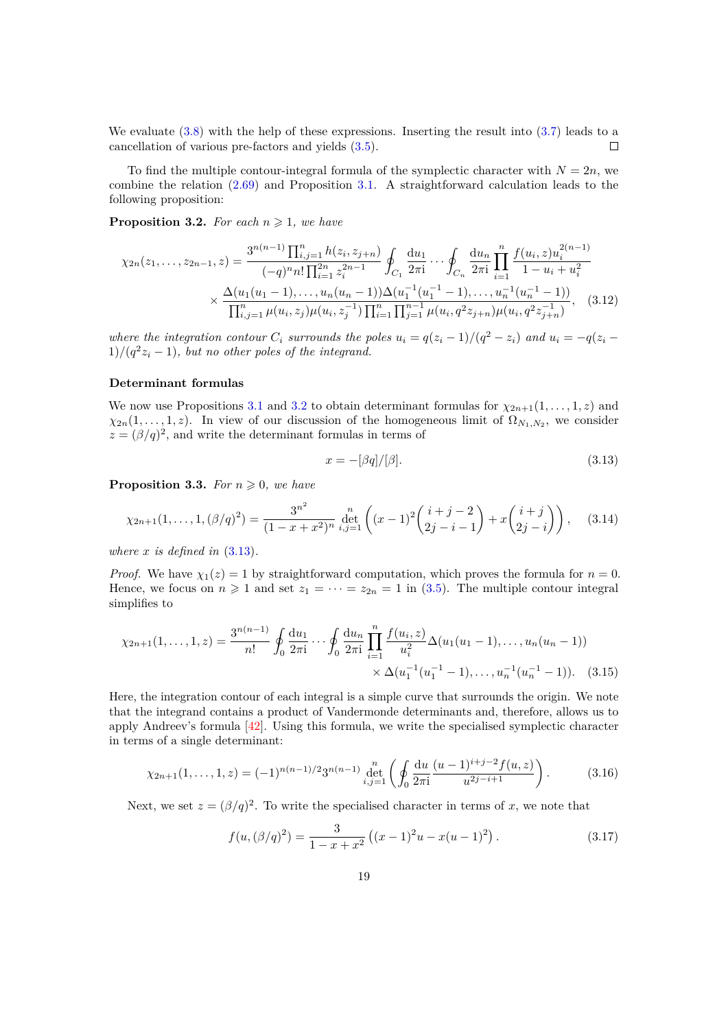We evaluate [\(3.8\)](#page-17-1) with the help of these expressions. Inserting the result into [\(3.7\)](#page-17-2) leads to a cancellation of various pre-factors and yields [\(3.5\)](#page-17-3).  $\Box$ 

To find the multiple contour-integral formula of the symplectic character with  $N = 2n$ , we combine the relation [\(2.69\)](#page-14-2) and Proposition [3.1.](#page-16-3) A straightforward calculation leads to the following proposition:

<span id="page-18-0"></span>**Proposition 3.2.** *For each*  $n \geq 1$ *, we have* 

$$
\chi_{2n}(z_1,\ldots,z_{2n-1},z) = \frac{3^{n(n-1)} \prod_{i,j=1}^n h(z_i,z_{j+n})}{(-q)^n n! \prod_{i=1}^{2n} z_i^{2n-1}} \oint_{C_1} \frac{du_1}{2\pi i} \cdots \oint_{C_n} \frac{du_n}{2\pi i} \prod_{i=1}^n \frac{f(u_i,z)u_i^{2(n-1)}}{1-u_i+u_i^2} \times \frac{\Delta(u_1(u_1-1),\ldots,u_n(u_n-1))\Delta(u_1^{-1}(u_1^{-1}-1),\ldots,u_n^{-1}(u_n^{-1}-1))}{\prod_{i,j=1}^n \mu(u_i,z_j)\mu(u_i,z_j^{-1}) \prod_{i=1}^n \prod_{j=1}^{n-1} \mu(u_i,q^2 z_{j+n})\mu(u_i,q^2 z_{j+n}^{-1})},
$$
(3.12)

where the integration contour  $C_i$  surrounds the poles  $u_i = q(z_i - 1)/(q^2 - z_i)$  and  $u_i = -q(z_i - 1)$  $1)/(q^2z_i-1)$ , but no other poles of the integrand.

#### **Determinant formulas**

We now use Propositions [3.1](#page-16-3) and [3.2](#page-18-0) to obtain determinant formulas for  $\chi_{2n+1}(1,\ldots,1,z)$  and  $\chi_{2n}(1,\ldots,1,z)$ . In view of our discussion of the homogeneous limit of  $\Omega_{N_1,N_2}$ , we consider  $z = (\beta/q)^2$ , and write the determinant formulas in terms of

<span id="page-18-4"></span><span id="page-18-2"></span><span id="page-18-1"></span>
$$
x = -[\beta q]/[\beta].\tag{3.13}
$$

<span id="page-18-3"></span>**Proposition 3.3.** *For*  $n \geq 0$ *, we have* 

$$
\chi_{2n+1}(1,\ldots,1,(\beta/q)^2) = \frac{3^{n^2}}{(1-x+x^2)^n} \det_{i,j=1}^n \left( (x-1)^2 \binom{i+j-2}{2j-i-1} + x \binom{i+j}{2j-i} \right),\tag{3.14}
$$

*where*  $x$  *is defined in*  $(3.13)$ *.* 

*Proof.* We have  $\chi_1(z) = 1$  by straightforward computation, which proves the formula for  $n = 0$ . Hence, we focus on  $n \geq 1$  and set  $z_1 = \cdots = z_{2n} = 1$  in [\(3.5\)](#page-17-3). The multiple contour integral simplifies to

$$
\chi_{2n+1}(1,\ldots,1,z) = \frac{3^{n(n-1)}}{n!} \oint_0 \frac{\mathrm{d}u_1}{2\pi i} \cdots \oint_0 \frac{\mathrm{d}u_n}{2\pi i} \prod_{i=1}^n \frac{f(u_i,z)}{u_i^2} \Delta(u_1(u_1-1),\ldots,u_n(u_n-1))
$$

$$
\times \Delta(u_1^{-1}(u_1^{-1}-1),\ldots,u_n^{-1}(u_n^{-1}-1)). \quad (3.15)
$$

Here, the integration contour of each integral is a simple curve that surrounds the origin. We note that the integrand contains a product of Vandermonde determinants and, therefore, allows us to apply Andreev's formula [\[42\]](#page-29-11). Using this formula, we write the specialised symplectic character in terms of a single determinant:

$$
\chi_{2n+1}(1,\ldots,1,z) = (-1)^{n(n-1)/2} 3^{n(n-1)} \det_{i,j=1}^{n} \left( \oint_0 \frac{\mathrm{d}u}{2\pi i} \frac{(u-1)^{i+j-2} f(u,z)}{u^{2j-i+1}} \right). \tag{3.16}
$$

Next, we set  $z = (\beta/q)^2$ . To write the specialised character in terms of x, we note that

$$
f(u, (\beta/q)^2) = \frac{3}{1 - x + x^2} ((x - 1)^2 u - x(u - 1)^2).
$$
 (3.17)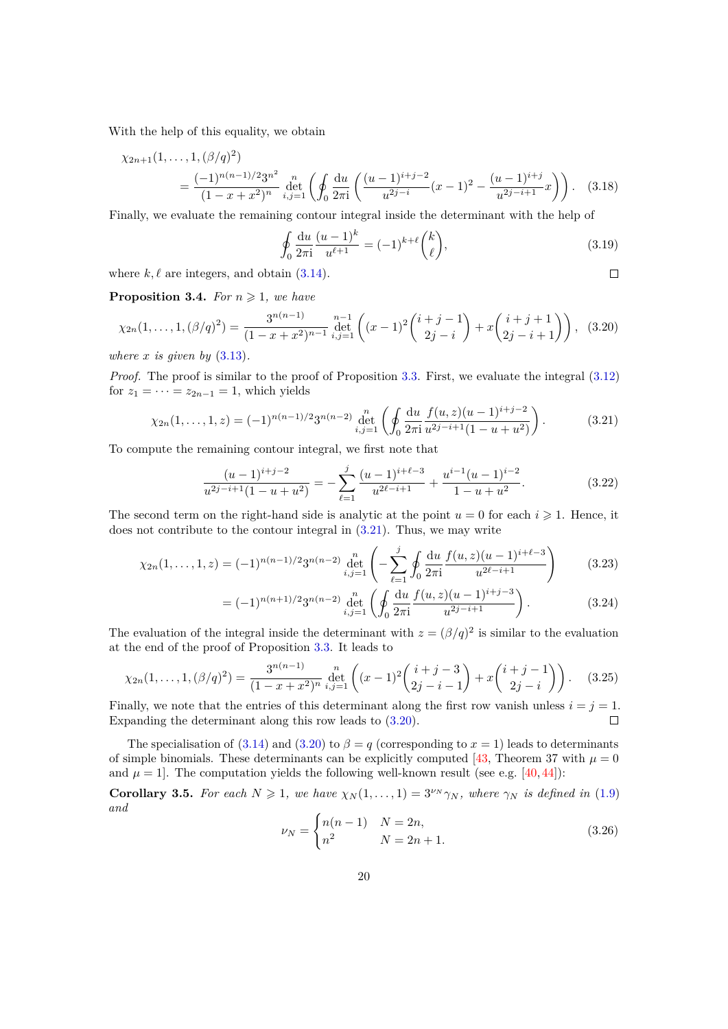With the help of this equality, we obtain

$$
\chi_{2n+1}(1,\ldots,1,(\beta/q)^2) = \frac{(-1)^{n(n-1)/2}3^{n^2}}{(1-x+x^2)^n} \det_{i,j=1}^n \left(\oint_0 \frac{\mathrm{d}u}{2\pi i} \left(\frac{(u-1)^{i+j-2}}{u^{2j-i}}(x-1)^2 - \frac{(u-1)^{i+j}}{u^{2j-i+1}}x\right)\right). \tag{3.18}
$$

Finally, we evaluate the remaining contour integral inside the determinant with the help of

<span id="page-19-1"></span>
$$
\oint_0 \frac{\mathrm{d}u}{2\pi \mathrm{i}} \frac{(u-1)^k}{u^{\ell+1}} = (-1)^{k+\ell} \binom{k}{\ell},\tag{3.19}
$$

 $\Box$ 

where  $k, \ell$  are integers, and obtain  $(3.14)$ .

<span id="page-19-3"></span>**Proposition 3.4.** *For*  $n \geq 1$ *, we have* 

$$
\chi_{2n}(1,\ldots,1,(\beta/q)^2) = \frac{3^{n(n-1)}}{(1-x+x^2)^{n-1}} \det_{i,j=1}^{n-1} \left( (x-1)^2 \binom{i+j-1}{2j-i} + x \binom{i+j+1}{2j-i+1} \right), \tag{3.20}
$$

*where*  $x$  *is given by*  $(3.13)$ *.* 

*Proof.* The proof is similar to the proof of Proposition [3.3.](#page-18-3) First, we evaluate the integral  $(3.12)$ for  $z_1 = \cdots = z_{2n-1} = 1$ , which yields

$$
\chi_{2n}(1,\ldots,1,z) = (-1)^{n(n-1)/2} 3^{n(n-2)} \det_{i,j=1}^{n} \left( \oint_0 \frac{\mathrm{d}u}{2\pi i} \frac{f(u,z)(u-1)^{i+j-2}}{u^{2j-i+1}(1-u+u^2)} \right). \tag{3.21}
$$

To compute the remaining contour integral, we first note that

<span id="page-19-0"></span>
$$
\frac{(u-1)^{i+j-2}}{u^{2j-i+1}(1-u+u^2)} = -\sum_{\ell=1}^j \frac{(u-1)^{i+\ell-3}}{u^{2\ell-i+1}} + \frac{u^{i-1}(u-1)^{i-2}}{1-u+u^2}.
$$
\n(3.22)

The second term on the right-hand side is analytic at the point  $u = 0$  for each  $i \geq 1$ . Hence, it does not contribute to the contour integral in [\(3.21\)](#page-19-0). Thus, we may write

$$
\chi_{2n}(1,\ldots,1,z) = (-1)^{n(n-1)/2} 3^{n(n-2)} \det_{i,j=1}^{n} \left( -\sum_{\ell=1}^{j} \oint_{0} \frac{\mathrm{d}u}{2\pi i} \frac{f(u,z)(u-1)^{i+\ell-3}}{u^{2\ell-i+1}} \right) \tag{3.23}
$$

$$
= (-1)^{n(n+1)/2} 3^{n(n-2)} \det_{i,j=1}^{n} \left( \oint_0 \frac{\mathrm{d}u}{2\pi i} \frac{f(u,z)(u-1)^{i+j-3}}{u^{2j-i+1}} \right).
$$
 (3.24)

The evaluation of the integral inside the determinant with  $z = (\beta/q)^2$  is similar to the evaluation at the end of the proof of Proposition [3.3.](#page-18-3) It leads to

$$
\chi_{2n}(1,\ldots,1,(\beta/q)^2) = \frac{3^{n(n-1)}}{(1-x+x^2)^n} \det_{i,j=1}^n \left( (x-1)^2 \binom{i+j-3}{2j-i-1} + x \binom{i+j-1}{2j-i} \right). \tag{3.25}
$$

Finally, we note that the entries of this determinant along the first row vanish unless  $i = j = 1$ . Expanding the determinant along this row leads to [\(3.20\)](#page-19-1).  $\Box$ 

The specialisation of [\(3.14\)](#page-18-2) and [\(3.20\)](#page-19-1) to  $\beta = q$  (corresponding to  $x = 1$ ) leads to determinants of simple binomials. These determinants can be explicitly computed [\[43,](#page-29-12) Theorem 37 with  $\mu = 0$ and  $\mu = 1$ . The computation yields the following well-known result (see e.g. [\[40,](#page-29-9) [44\]](#page-29-13)):

<span id="page-19-2"></span>**Corollary 3.5.** *For each*  $N \ge 1$ *, we have*  $\chi_N(1,\ldots,1) = 3^{\nu_N}\gamma_N$ *, where*  $\gamma_N$  *is defined in* [\(1.9\)](#page-2-0) *and*

$$
\nu_N = \begin{cases} n(n-1) & N = 2n, \\ n^2 & N = 2n + 1. \end{cases}
$$
 (3.26)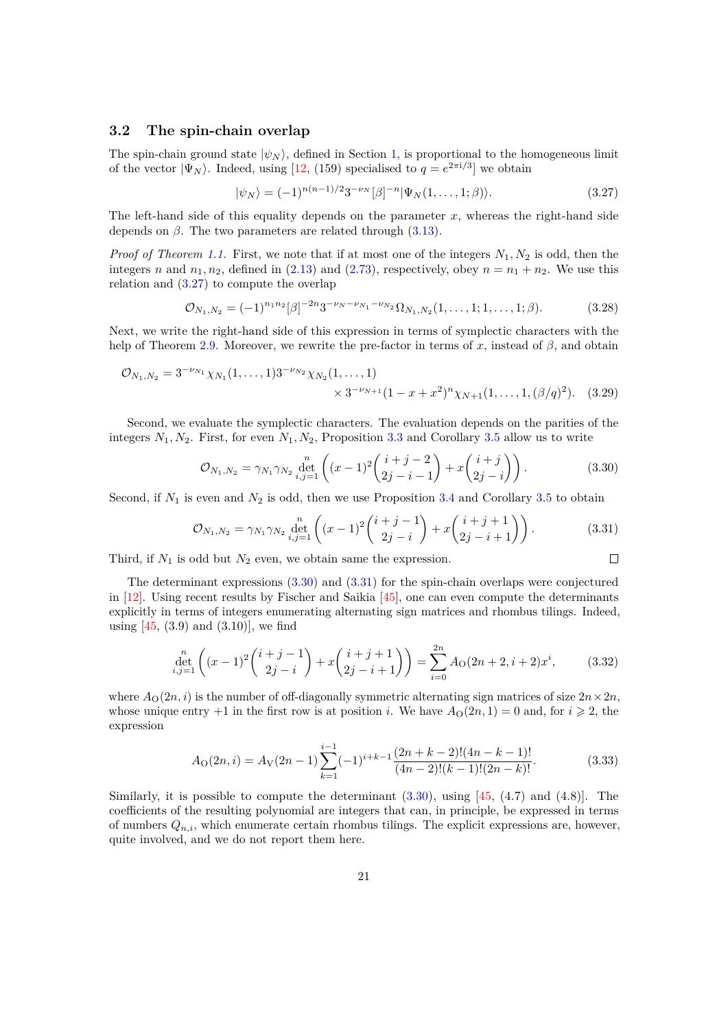# <span id="page-20-0"></span>**3.2 The spin-chain overlap**

The spin-chain ground state  $|\psi_N\rangle$ , defined in Section [1,](#page-1-0) is proportional to the homogeneous limit of the vector  $|\Psi_N\rangle$ . Indeed, using [\[12,](#page-28-0) (159) specialised to  $q = e^{2\pi i/3}$ ] we obtain

<span id="page-20-1"></span>
$$
|\psi_N\rangle = (-1)^{n(n-1)/2} 3^{-\nu_N} [\beta]^{-n} |\Psi_N(1,\ldots,1;\beta)\rangle.
$$
 (3.27)

The left-hand side of this equality depends on the parameter *x*, whereas the right-hand side depends on  $\beta$ . The two parameters are related through  $(3.13)$ .

*Proof of Theorem [1.1.](#page-3-0)* First, we note that if at most one of the integers *N*1*, N*<sup>2</sup> is odd, then the integers *n* and  $n_1, n_2$ , defined in [\(2.13\)](#page-6-3) and [\(2.73\)](#page-15-3), respectively, obey  $n = n_1 + n_2$ . We use this relation and [\(3.27\)](#page-20-1) to compute the overlap

$$
\mathcal{O}_{N_1,N_2} = (-1)^{n_1 n_2} [\beta]^{-2n} 3^{-\nu_N - \nu_{N_1} - \nu_{N_2}} \Omega_{N_1,N_2}(1,\ldots,1;1,\ldots,1;\beta).
$$
 (3.28)

Next, we write the right-hand side of this expression in terms of symplectic characters with the help of Theorem [2.9.](#page-15-4) Moreover, we rewrite the pre-factor in terms of *x*, instead of *β*, and obtain

$$
\mathcal{O}_{N_1,N_2} = 3^{-\nu_{N_1}} \chi_{N_1}(1,\ldots,1) 3^{-\nu_{N_2}} \chi_{N_2}(1,\ldots,1) \times 3^{-\nu_{N+1}} (1-x+x^2)^n \chi_{N+1}(1,\ldots,1,(\beta/q)^2). \tag{3.29}
$$

Second, we evaluate the symplectic characters. The evaluation depends on the parities of the integers  $N_1, N_2$ . First, for even  $N_1, N_2$ , Proposition [3.3](#page-18-3) and Corollary [3.5](#page-19-2) allow us to write

$$
\mathcal{O}_{N_1,N_2} = \gamma_{N_1} \gamma_{N_2} \det_{i,j=1}^{n} \left( (x-1)^2 \binom{i+j-2}{2j-i-1} + x \binom{i+j}{2j-i} \right). \tag{3.30}
$$

Second, if  $N_1$  is even and  $N_2$  is odd, then we use Proposition [3.4](#page-19-3) and Corollary [3.5](#page-19-2) to obtain

$$
\mathcal{O}_{N_1,N_2} = \gamma_{N_1} \gamma_{N_2} \det_{i,j=1}^{n} \left( (x-1)^2 \binom{i+j-1}{2j-i} + x \binom{i+j+1}{2j-i+1} \right). \tag{3.31}
$$

<span id="page-20-4"></span><span id="page-20-3"></span><span id="page-20-2"></span> $\Box$ 

Third, if  $N_1$  is odd but  $N_2$  even, we obtain same the expression.

The determinant expressions [\(3.30\)](#page-20-2) and [\(3.31\)](#page-20-3) for the spin-chain overlaps were conjectured in [\[12\]](#page-28-0). Using recent results by Fischer and Saikia [\[45\]](#page-29-14), one can even compute the determinants explicitly in terms of integers enumerating alternating sign matrices and rhombus tilings. Indeed, using  $[45, (3.9)$  and  $(3.10)$ , we find

$$
\det_{i,j=1}^{n} \left( (x-1)^2 \binom{i+j-1}{2j-i} + x \binom{i+j+1}{2j-i+1} \right) = \sum_{i=0}^{2n} A_0(2n+2, i+2)x^i, \tag{3.32}
$$

where  $A_{\text{O}}(2n, i)$  is the number of off-diagonally symmetric alternating sign matrices of size  $2n \times 2n$ , whose unique entry  $+1$  in the first row is at position *i*. We have  $A_{\mathcal{O}}(2n, 1) = 0$  and, for  $i \geq 2$ , the expression

$$
A_{\mathcal{O}}(2n,i) = A_{\mathcal{V}}(2n-1) \sum_{k=1}^{i-1} (-1)^{i+k-1} \frac{(2n+k-2)!(4n-k-1)!}{(4n-2)!(k-1)!(2n-k)!}.
$$
 (3.33)

Similarly, it is possible to compute the determinant  $(3.30)$ , using  $[45, (4.7)$  and  $(4.8)$ ]. The coefficients of the resulting polynomial are integers that can, in principle, be expressed in terms of numbers *Qn,i*, which enumerate certain rhombus tilings. The explicit expressions are, however, quite involved, and we do not report them here.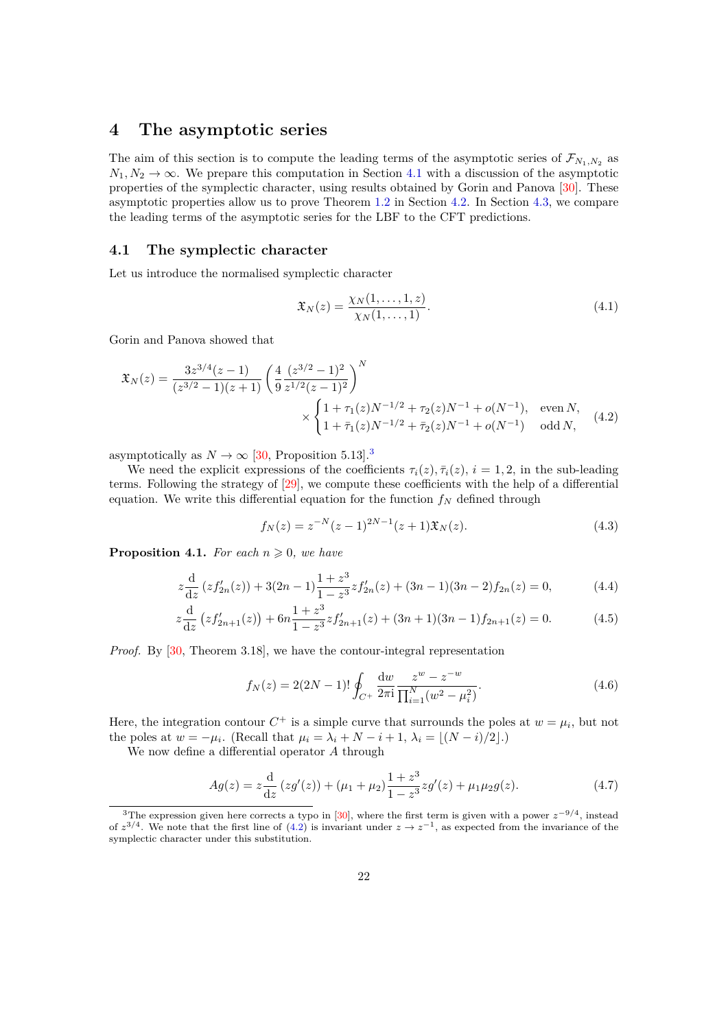# <span id="page-21-0"></span>**4 The asymptotic series**

The aim of this section is to compute the leading terms of the asymptotic series of  $\mathcal{F}_{N_1,N_2}$  as  $N_1, N_2 \to \infty$ . We prepare this computation in Section [4.1](#page-21-1) with a discussion of the asymptotic properties of the symplectic character, using results obtained by Gorin and Panova [\[30\]](#page-28-12). These asymptotic properties allow us to prove Theorem [1.2](#page-3-1) in Section [4.2.](#page-23-0) In Section [4.3,](#page-24-0) we compare the leading terms of the asymptotic series for the LBF to the CFT predictions.

# <span id="page-21-1"></span>**4.1 The symplectic character**

Let us introduce the normalised symplectic character

<span id="page-21-6"></span><span id="page-21-3"></span>
$$
\mathfrak{X}_N(z) = \frac{\chi_N(1,\ldots,1,z)}{\chi_N(1,\ldots,1)}.\tag{4.1}
$$

Gorin and Panova showed that

$$
\mathfrak{X}_N(z) = \frac{3z^{3/4}(z-1)}{(z^{3/2}-1)(z+1)} \left(\frac{4}{9} \frac{(z^{3/2}-1)^2}{z^{1/2}(z-1)^2}\right)^N \times \begin{cases} 1+\tau_1(z)N^{-1/2}+\tau_2(z)N^{-1}+o(N^{-1}), & \text{even } N, \\ 1+\bar{\tau}_1(z)N^{-1/2}+\bar{\tau}_2(z)N^{-1}+o(N^{-1}) & \text{odd } N, \end{cases} (4.2)
$$

asymptotically as  $N \to \infty$  [\[30,](#page-28-12) Proposition 5.1[3](#page-21-2)].<sup>3</sup>

We need the explicit expressions of the coefficients  $\tau_i(z)$ ,  $\bar{\tau}_i(z)$ ,  $i = 1, 2$ , in the sub-leading terms. Following the strategy of [\[29\]](#page-28-11), we compute these coefficients with the help of a differential equation. We write this differential equation for the function  $f_N$  defined through

$$
f_N(z) = z^{-N}(z-1)^{2N-1}(z+1)\mathfrak{X}_N(z). \tag{4.3}
$$

<span id="page-21-5"></span>**Proposition 4.1.** *For each*  $n \geq 0$ *, we have* 

$$
z\frac{d}{dz}\left(zf'_{2n}(z)\right) + 3(2n-1)\frac{1+z^3}{1-z^3}zf'_{2n}(z) + (3n-1)(3n-2)f_{2n}(z) = 0,\tag{4.4}
$$

$$
z\frac{d}{dz}\left(zf'_{2n+1}(z)\right) + 6n\frac{1+z^3}{1-z^3}zf'_{2n+1}(z) + (3n+1)(3n-1)f_{2n+1}(z) = 0.
$$
 (4.5)

*Proof.* By [\[30,](#page-28-12) Theorem 3.18], we have the contour-integral representation

<span id="page-21-4"></span>
$$
f_N(z) = 2(2N - 1)!\oint_{C^+} \frac{dw}{2\pi i} \frac{z^w - z^{-w}}{\prod_{i=1}^N (w^2 - \mu_i^2)}.
$$
\n(4.6)

Here, the integration contour  $C^+$  is a simple curve that surrounds the poles at  $w = \mu_i$ , but not the poles at  $w = -\mu_i$ . (Recall that  $\mu_i = \lambda_i + N - i + 1$ ,  $\lambda_i = \lfloor (N - i)/2 \rfloor$ .)

We now define a differential operator *A* through

$$
Ag(z) = z\frac{d}{dz}\left(zg'(z)\right) + (\mu_1 + \mu_2)\frac{1+z^3}{1-z^3}zg'(z) + \mu_1\mu_2g(z). \tag{4.7}
$$

<span id="page-21-2"></span><sup>3</sup>The expression given here corrects a typo in [\[30\]](#page-28-12), where the first term is given with a power *z*−9*/*<sup>4</sup> , instead of  $z^{3/4}$ . We note that the first line of [\(4.2\)](#page-21-3) is invariant under  $z \to z^{-1}$ , as expected from the invariance of the symplectic character under this substitution.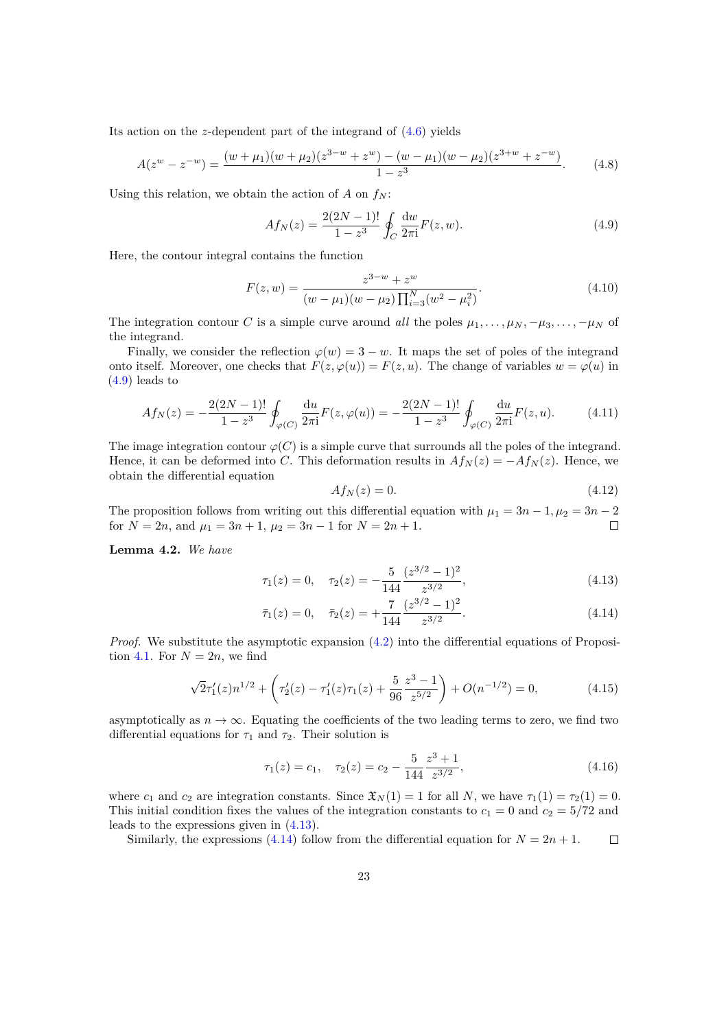Its action on the *z*-dependent part of the integrand of [\(4.6\)](#page-21-4) yields

$$
A(z^w - z^{-w}) = \frac{(w + \mu_1)(w + \mu_2)(z^{3-w} + z^w) - (w - \mu_1)(w - \mu_2)(z^{3+w} + z^{-w})}{1 - z^3}.
$$
 (4.8)

Using this relation, we obtain the action of  $A$  on  $f_N$ :

<span id="page-22-0"></span>
$$
Af_N(z) = \frac{2(2N-1)!}{1-z^3} \oint_C \frac{dw}{2\pi i} F(z, w).
$$
\n(4.9)

Here, the contour integral contains the function

$$
F(z, w) = \frac{z^{3-w} + z^w}{(w - \mu_1)(w - \mu_2) \prod_{i=3}^N (w^2 - \mu_i^2)}.
$$
\n(4.10)

The integration contour *C* is a simple curve around *all* the poles  $\mu_1, \ldots, \mu_N, -\mu_3, \ldots, -\mu_N$  of the integrand.

Finally, we consider the reflection  $\varphi(w) = 3 - w$ . It maps the set of poles of the integrand onto itself. Moreover, one checks that  $F(z, \varphi(u)) = F(z, u)$ . The change of variables  $w = \varphi(u)$  in [\(4.9\)](#page-22-0) leads to

$$
Af_N(z) = -\frac{2(2N-1)!}{1-z^3} \oint_{\varphi(C)} \frac{du}{2\pi i} F(z, \varphi(u)) = -\frac{2(2N-1)!}{1-z^3} \oint_{\varphi(C)} \frac{du}{2\pi i} F(z, u). \tag{4.11}
$$

The image integration contour  $\varphi(C)$  is a simple curve that surrounds all the poles of the integrand. Hence, it can be deformed into *C*. This deformation results in  $Af_N(z) = -Af_N(z)$ . Hence, we obtain the differential equation

<span id="page-22-2"></span><span id="page-22-1"></span>
$$
Af_N(z) = 0.\t\t(4.12)
$$

The proposition follows from writing out this differential equation with  $\mu_1 = 3n - 1, \mu_2 = 3n - 2$ for  $N = 2n$ , and  $\mu_1 = 3n + 1$ ,  $\mu_2 = 3n - 1$  for  $N = 2n + 1$ .  $\Box$ 

<span id="page-22-3"></span>**Lemma 4.2.** *We have*

$$
\tau_1(z) = 0, \quad \tau_2(z) = -\frac{5}{144} \frac{(z^{3/2} - 1)^2}{z^{3/2}},\tag{4.13}
$$

$$
\bar{\tau}_1(z) = 0, \quad \bar{\tau}_2(z) = +\frac{7}{144} \frac{(z^{3/2} - 1)^2}{z^{3/2}}.
$$
\n(4.14)

*Proof.* We substitute the asymptotic expansion  $(4.2)$  into the differential equations of Proposi-tion [4.1.](#page-21-5) For  $N = 2n$ , we find

$$
\sqrt{2}\tau_1'(z)n^{1/2} + \left(\tau_2'(z) - \tau_1'(z)\tau_1(z) + \frac{5}{96}\frac{z^3 - 1}{z^{5/2}}\right) + O(n^{-1/2}) = 0,
$$
\n(4.15)

asymptotically as  $n \to \infty$ . Equating the coefficients of the two leading terms to zero, we find two differential equations for  $\tau_1$  and  $\tau_2$ . Their solution is

$$
\tau_1(z) = c_1, \quad \tau_2(z) = c_2 - \frac{5}{144} \frac{z^3 + 1}{z^{3/2}},\tag{4.16}
$$

where  $c_1$  and  $c_2$  are integration constants. Since  $\mathfrak{X}_N(1) = 1$  for all *N*, we have  $\tau_1(1) = \tau_2(1) = 0$ . This initial condition fixes the values of the integration constants to  $c_1 = 0$  and  $c_2 = 5/72$  and leads to the expressions given in [\(4.13\)](#page-22-1).

Similarly, the expressions [\(4.14\)](#page-22-2) follow from the differential equation for  $N = 2n + 1$ .  $\Box$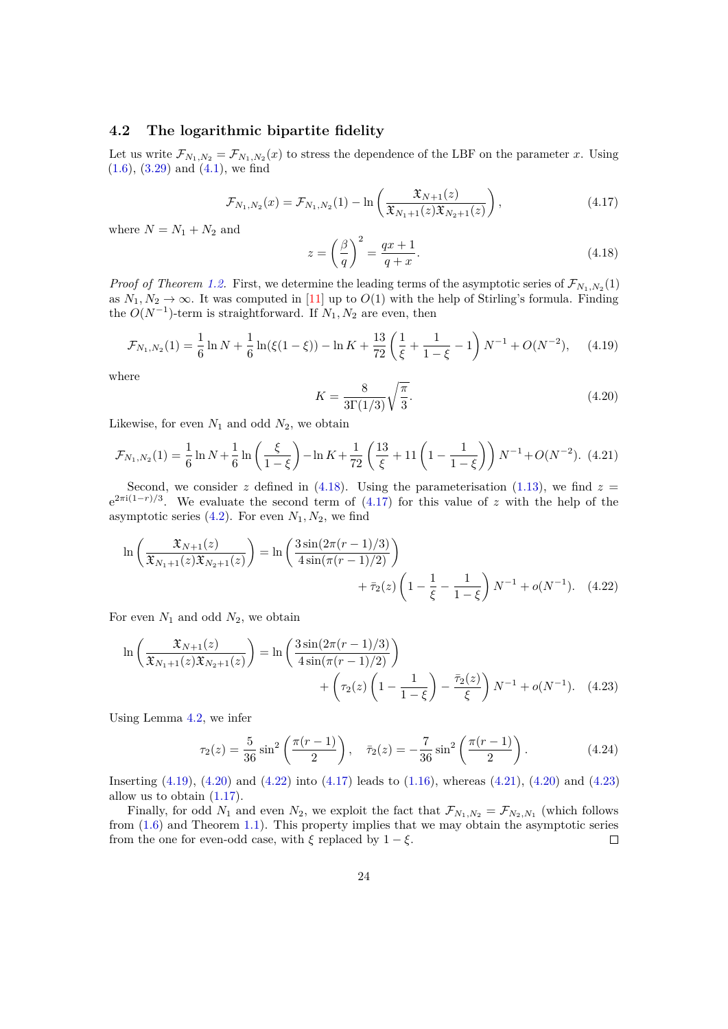# <span id="page-23-0"></span>**4.2 The logarithmic bipartite fidelity**

<span id="page-23-2"></span>Let us write  $\mathcal{F}_{N_1,N_2} = \mathcal{F}_{N_1,N_2}(x)$  to stress the dependence of the LBF on the parameter *x*. Using  $(1.6), (3.29)$  $(1.6), (3.29)$  $(1.6), (3.29)$  and  $(4.1),$  we find

<span id="page-23-1"></span>
$$
\mathcal{F}_{N_1,N_2}(x) = \mathcal{F}_{N_1,N_2}(1) - \ln\left(\frac{\mathfrak{X}_{N+1}(z)}{\mathfrak{X}_{N_1+1}(z)\mathfrak{X}_{N_2+1}(z)}\right),\tag{4.17}
$$

where  $N = N_1 + N_2$  and

$$
z = \left(\frac{\beta}{q}\right)^2 = \frac{qx + 1}{q + x}.\tag{4.18}
$$

*Proof of Theorem [1.2.](#page-3-1)* First, we determine the leading terms of the asymptotic series of  $\mathcal{F}_{N_1,N_2}(1)$ as  $N_1, N_2 \to \infty$ . It was computed in [\[11\]](#page-27-9) up to  $O(1)$  with the help of Stirling's formula. Finding the  $O(N^{-1})$ -term is straightforward. If  $N_1, N_2$  are even, then

$$
\mathcal{F}_{N_1,N_2}(1) = \frac{1}{6}\ln N + \frac{1}{6}\ln(\xi(1-\xi)) - \ln K + \frac{13}{72}\left(\frac{1}{\xi} + \frac{1}{1-\xi} - 1\right)N^{-1} + O(N^{-2}),\tag{4.19}
$$

<span id="page-23-4"></span>where

<span id="page-23-6"></span><span id="page-23-5"></span><span id="page-23-3"></span>
$$
K = \frac{8}{3\Gamma(1/3)}\sqrt{\frac{\pi}{3}}.\tag{4.20}
$$

Likewise, for even  $N_1$  and odd  $N_2$ , we obtain

$$
\mathcal{F}_{N_1,N_2}(1) = \frac{1}{6} \ln N + \frac{1}{6} \ln \left( \frac{\xi}{1-\xi} \right) - \ln K + \frac{1}{72} \left( \frac{13}{\xi} + 11 \left( 1 - \frac{1}{1-\xi} \right) \right) N^{-1} + O(N^{-2}). \tag{4.21}
$$

Second, we consider *z* defined in [\(4.18\)](#page-23-1). Using the parameterisation [\(1.13\)](#page-3-2), we find  $z =$  $e^{2\pi i(1-r)/3}$ . We evaluate the second term of [\(4.17\)](#page-23-2) for this value of *z* with the help of the asymptotic series  $(4.2)$ . For even  $N_1, N_2$ , we find

$$
\ln\left(\frac{\mathfrak{X}_{N+1}(z)}{\mathfrak{X}_{N+1}(z)\mathfrak{X}_{N+1}(z)}\right) = \ln\left(\frac{3\sin(2\pi(r-1)/3)}{4\sin(\pi(r-1)/2)}\right) + \bar{\tau}_2(z)\left(1 - \frac{1}{\xi} - \frac{1}{1-\xi}\right)N^{-1} + o(N^{-1}).\tag{4.22}
$$

For even *N*<sup>1</sup> and odd *N*2, we obtain

$$
\ln\left(\frac{\mathfrak{X}_{N+1}(z)}{\mathfrak{X}_{N+1}(z)\mathfrak{X}_{N+1}(z)}\right) = \ln\left(\frac{3\sin(2\pi(r-1)/3)}{4\sin(\pi(r-1)/2)}\right) + \left(\tau_2(z)\left(1-\frac{1}{1-\xi}\right)-\frac{\bar{\tau}_2(z)}{\xi}\right)N^{-1} + o(N^{-1}).\tag{4.23}
$$

Using Lemma [4.2,](#page-22-3) we infer

<span id="page-23-7"></span>
$$
\tau_2(z) = \frac{5}{36} \sin^2 \left( \frac{\pi(r-1)}{2} \right), \quad \bar{\tau}_2(z) = -\frac{7}{36} \sin^2 \left( \frac{\pi(r-1)}{2} \right). \tag{4.24}
$$

Inserting [\(4.19\)](#page-23-3), [\(4.20\)](#page-23-4) and [\(4.22\)](#page-23-5) into [\(4.17\)](#page-23-2) leads to [\(1.16\)](#page-3-3), whereas [\(4.21\)](#page-23-6), [\(4.20\)](#page-23-4) and [\(4.23\)](#page-23-7) allow us to obtain [\(1.17\)](#page-4-1).

Finally, for odd  $N_1$  and even  $N_2$ , we exploit the fact that  $\mathcal{F}_{N_1,N_2} = \mathcal{F}_{N_2,N_1}$  (which follows from [\(1.6\)](#page-2-1) and Theorem [1.1\)](#page-3-0). This property implies that we may obtain the asymptotic series from the one for even-odd case, with  $\xi$  replaced by  $1 - \xi$ .  $\Box$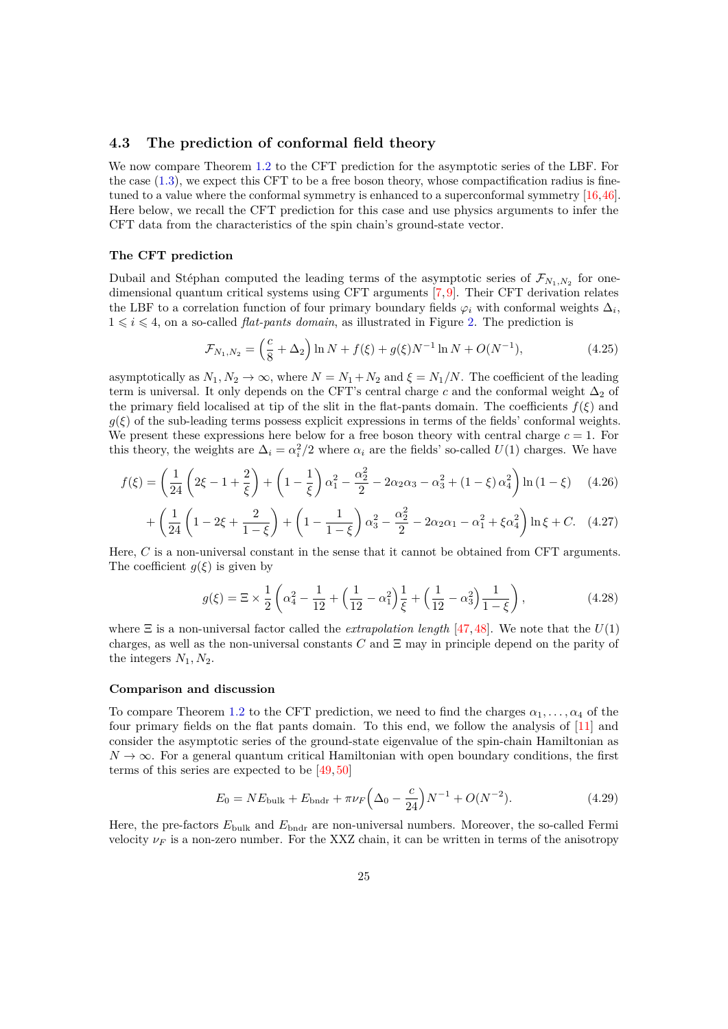# <span id="page-24-0"></span>**4.3 The prediction of conformal field theory**

We now compare Theorem [1.2](#page-3-1) to the CFT prediction for the asymptotic series of the LBF. For the case  $(1.3)$ , we expect this CFT to be a free boson theory, whose compactification radius is finetuned to a value where the conformal symmetry is enhanced to a superconformal symmetry [\[16,](#page-28-4)[46\]](#page-29-15). Here below, we recall the CFT prediction for this case and use physics arguments to infer the CFT data from the characteristics of the spin chain's ground-state vector.

#### **The CFT prediction**

Dubail and Stéphan computed the leading terms of the asymptotic series of  $\mathcal{F}_{N_1,N_2}$  for onedimensional quantum critical systems using CFT arguments [\[7,](#page-27-5) [9\]](#page-27-7). Their CFT derivation relates the LBF to a correlation function of four primary boundary fields  $\varphi_i$  with conformal weights  $\Delta_i$ ,  $1 \leq i \leq 4$ , on a so-called *flat-pants domain*, as illustrated in Figure [2.](#page-25-0) The prediction is

$$
\mathcal{F}_{N_1,N_2} = \left(\frac{c}{8} + \Delta_2\right) \ln N + f(\xi) + g(\xi)N^{-1} \ln N + O(N^{-1}),\tag{4.25}
$$

asymptotically as  $N_1, N_2 \to \infty$ , where  $N = N_1 + N_2$  and  $\xi = N_1/N$ . The coefficient of the leading term is universal. It only depends on the CFT's central charge  $c$  and the conformal weight  $\Delta_2$  of the primary field localised at tip of the slit in the flat-pants domain. The coefficients *f*(*ξ*) and  $g(\xi)$  of the sub-leading terms possess explicit expressions in terms of the fields' conformal weights. We present these expressions here below for a free boson theory with central charge  $c = 1$ . For this theory, the weights are  $\Delta_i = \alpha_i^2/2$  where  $\alpha_i$  are the fields' so-called  $U(1)$  charges. We have

$$
f(\xi) = \left(\frac{1}{24}\left(2\xi - 1 + \frac{2}{\xi}\right) + \left(1 - \frac{1}{\xi}\right)\alpha_1^2 - \frac{\alpha_2^2}{2} - 2\alpha_2\alpha_3 - \alpha_3^2 + (1 - \xi)\alpha_4^2\right)\ln\left(1 - \xi\right) \tag{4.26}
$$

$$
+\left(\frac{1}{24}\left(1-2\xi+\frac{2}{1-\xi}\right)+\left(1-\frac{1}{1-\xi}\right)\alpha_3^2-\frac{\alpha_2^2}{2}-2\alpha_2\alpha_1-\alpha_1^2+\xi\alpha_4^2\right)\ln\xi+C.\quad(4.27)
$$

Here, *C* is a non-universal constant in the sense that it cannot be obtained from CFT arguments. The coefficient  $g(\xi)$  is given by

<span id="page-24-2"></span><span id="page-24-1"></span>
$$
g(\xi) = \Xi \times \frac{1}{2} \left( \alpha_4^2 - \frac{1}{12} + \left( \frac{1}{12} - \alpha_1^2 \right) \frac{1}{\xi} + \left( \frac{1}{12} - \alpha_3^2 \right) \frac{1}{1 - \xi} \right),\tag{4.28}
$$

where  $\Xi$  is a non-universal factor called the *extrapolation length* [\[47,](#page-29-16) [48\]](#page-29-17). We note that the  $U(1)$ charges, as well as the non-universal constants *C* and Ξ may in principle depend on the parity of the integers  $N_1, N_2$ .

#### **Comparison and discussion**

To compare Theorem [1.2](#page-3-1) to the CFT prediction, we need to find the charges  $\alpha_1, \ldots, \alpha_4$  of the four primary fields on the flat pants domain. To this end, we follow the analysis of [\[11\]](#page-27-9) and consider the asymptotic series of the ground-state eigenvalue of the spin-chain Hamiltonian as  $N \to \infty$ . For a general quantum critical Hamiltonian with open boundary conditions, the first terms of this series are expected to be [\[49,](#page-29-18) [50\]](#page-30-0)

$$
E_0 = NE_{\text{bulk}} + E_{\text{bndr}} + \pi \nu_F \left(\Delta_0 - \frac{c}{24}\right) N^{-1} + O(N^{-2}).\tag{4.29}
$$

Here, the pre-factors  $E_{\text{bulk}}$  and  $E_{\text{bndr}}$  are non-universal numbers. Moreover, the so-called Fermi velocity  $\nu_F$  is a non-zero number. For the XXZ chain, it can be written in terms of the anisotropy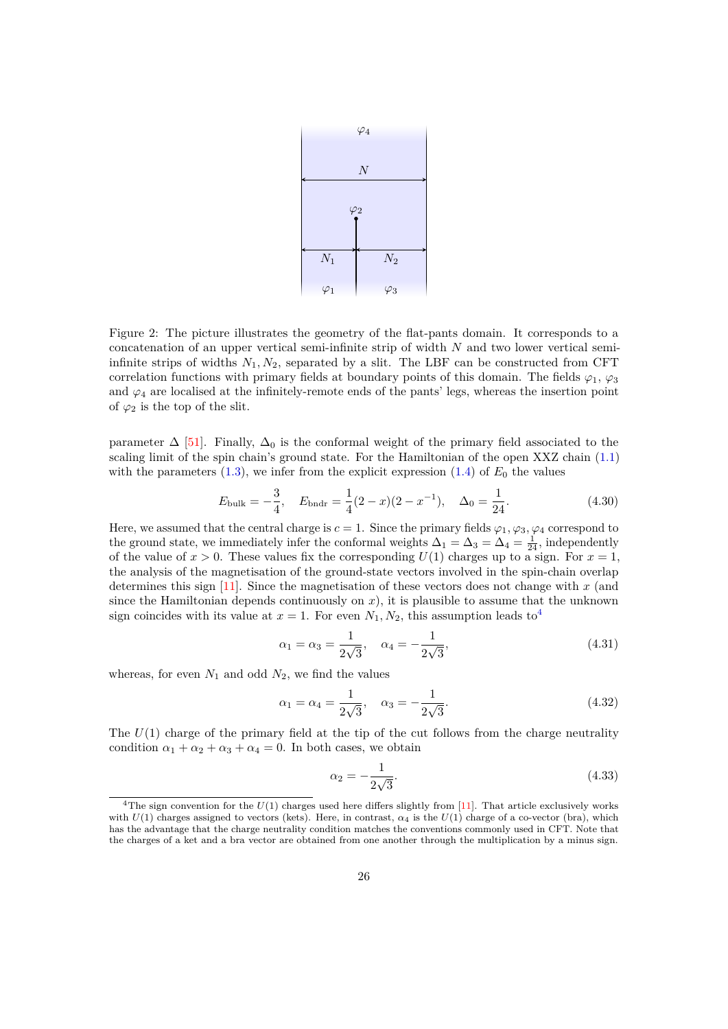

<span id="page-25-0"></span>Figure 2: The picture illustrates the geometry of the flat-pants domain. It corresponds to a concatenation of an upper vertical semi-infinite strip of width *N* and two lower vertical semiinfinite strips of widths  $N_1, N_2$ , separated by a slit. The LBF can be constructed from CFT correlation functions with primary fields at boundary points of this domain. The fields  $\varphi_1$ ,  $\varphi_3$ and  $\varphi_4$  are localised at the infinitely-remote ends of the pants' legs, whereas the insertion point of  $\varphi_2$  is the top of the slit.

parameter  $\Delta$  [\[51\]](#page-30-1). Finally,  $\Delta_0$  is the conformal weight of the primary field associated to the scaling limit of the spin chain's ground state. For the Hamiltonian of the open XXZ chain [\(1.1\)](#page-1-2) with the parameters  $(1.3)$ , we infer from the explicit expression  $(1.4)$  of  $E_0$  the values

$$
E_{\text{bulk}} = -\frac{3}{4}, \quad E_{\text{bndr}} = \frac{1}{4}(2-x)(2-x^{-1}), \quad \Delta_0 = \frac{1}{24}.
$$
 (4.30)

Here, we assumed that the central charge is  $c = 1$ . Since the primary fields  $\varphi_1, \varphi_3, \varphi_4$  correspond to the ground state, we immediately infer the conformal weights  $\Delta_1 = \Delta_3 = \Delta_4 = \frac{1}{24}$ , independently of the value of  $x > 0$ . These values fix the corresponding  $U(1)$  charges up to a sign. For  $x = 1$ , the analysis of the magnetisation of the ground-state vectors involved in the spin-chain overlap determines this sign [\[11\]](#page-27-9). Since the magnetisation of these vectors does not change with *x* (and since the Hamiltonian depends continuously on *x*), it is plausible to assume that the unknown sign coincides with its value at  $x = 1$ . For even  $N_1, N_2$ , this assumption leads to<sup>[4](#page-25-1)</sup>

<span id="page-25-2"></span>
$$
\alpha_1 = \alpha_3 = \frac{1}{2\sqrt{3}}, \quad \alpha_4 = -\frac{1}{2\sqrt{3}}, \tag{4.31}
$$

whereas, for even  $N_1$  and odd  $N_2$ , we find the values

<span id="page-25-4"></span>
$$
\alpha_1 = \alpha_4 = \frac{1}{2\sqrt{3}}, \quad \alpha_3 = -\frac{1}{2\sqrt{3}}.\tag{4.32}
$$

The  $U(1)$  charge of the primary field at the tip of the cut follows from the charge neutrality condition  $\alpha_1 + \alpha_2 + \alpha_3 + \alpha_4 = 0$ . In both cases, we obtain

<span id="page-25-3"></span>
$$
\alpha_2 = -\frac{1}{2\sqrt{3}}.\tag{4.33}
$$

<span id="page-25-1"></span><sup>&</sup>lt;sup>4</sup>The sign convention for the  $U(1)$  charges used here differs slightly from [\[11\]](#page-27-9). That article exclusively works with  $U(1)$  charges assigned to vectors (kets). Here, in contrast,  $\alpha_4$  is the  $U(1)$  charge of a co-vector (bra), which has the advantage that the charge neutrality condition matches the conventions commonly used in CFT. Note that the charges of a ket and a bra vector are obtained from one another through the multiplication by a minus sign.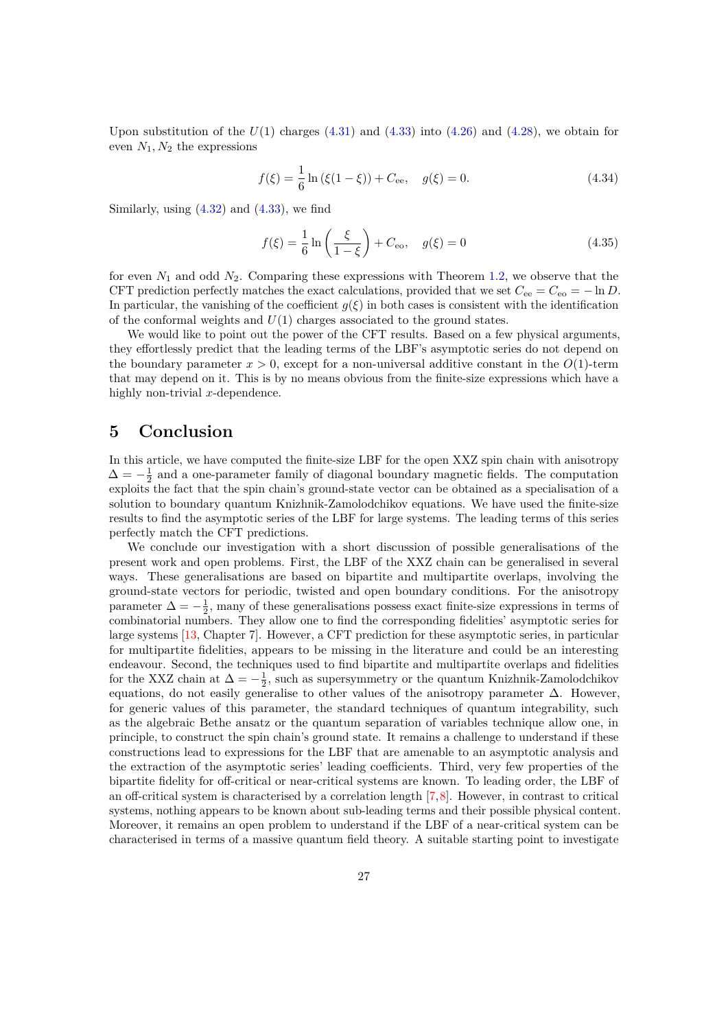Upon substitution of the  $U(1)$  charges  $(4.31)$  and  $(4.33)$  into  $(4.26)$  and  $(4.28)$ , we obtain for even  $N_1, N_2$  the expressions

$$
f(\xi) = \frac{1}{6} \ln \left( \xi (1 - \xi) \right) + C_{\text{ee}}, \quad g(\xi) = 0. \tag{4.34}
$$

Similarly, using  $(4.32)$  and  $(4.33)$ , we find

$$
f(\xi) = \frac{1}{6} \ln \left( \frac{\xi}{1 - \xi} \right) + C_{\text{eo}}, \quad g(\xi) = 0 \tag{4.35}
$$

for even  $N_1$  and odd  $N_2$ . Comparing these expressions with Theorem [1.2,](#page-3-1) we observe that the CFT prediction perfectly matches the exact calculations, provided that we set  $C_{ee} = C_{eo} = -\ln D$ . In particular, the vanishing of the coefficient  $g(\xi)$  in both cases is consistent with the identification of the conformal weights and  $U(1)$  charges associated to the ground states.

We would like to point out the power of the CFT results. Based on a few physical arguments, they effortlessly predict that the leading terms of the LBF's asymptotic series do not depend on the boundary parameter  $x > 0$ , except for a non-universal additive constant in the  $O(1)$ -term that may depend on it. This is by no means obvious from the finite-size expressions which have a highly non-trivial *x*-dependence.

# <span id="page-26-0"></span>**5 Conclusion**

In this article, we have computed the finite-size LBF for the open XXZ spin chain with anisotropy  $\Delta = -\frac{1}{2}$  and a one-parameter family of diagonal boundary magnetic fields. The computation exploits the fact that the spin chain's ground-state vector can be obtained as a specialisation of a solution to boundary quantum Knizhnik-Zamolodchikov equations. We have used the finite-size results to find the asymptotic series of the LBF for large systems. The leading terms of this series perfectly match the CFT predictions.

We conclude our investigation with a short discussion of possible generalisations of the present work and open problems. First, the LBF of the XXZ chain can be generalised in several ways. These generalisations are based on bipartite and multipartite overlaps, involving the ground-state vectors for periodic, twisted and open boundary conditions. For the anisotropy parameter  $\Delta = -\frac{1}{2}$ , many of these generalisations possess exact finite-size expressions in terms of combinatorial numbers. They allow one to find the corresponding fidelities' asymptotic series for large systems [\[13,](#page-28-1) Chapter 7]. However, a CFT prediction for these asymptotic series, in particular for multipartite fidelities, appears to be missing in the literature and could be an interesting endeavour. Second, the techniques used to find bipartite and multipartite overlaps and fidelities for the XXZ chain at  $\Delta = -\frac{1}{2}$ , such as supersymmetry or the quantum Knizhnik-Zamolodchikov equations, do not easily generalise to other values of the anisotropy parameter  $\Delta$ . However, for generic values of this parameter, the standard techniques of quantum integrability, such as the algebraic Bethe ansatz or the quantum separation of variables technique allow one, in principle, to construct the spin chain's ground state. It remains a challenge to understand if these constructions lead to expressions for the LBF that are amenable to an asymptotic analysis and the extraction of the asymptotic series' leading coefficients. Third, very few properties of the bipartite fidelity for off-critical or near-critical systems are known. To leading order, the LBF of an off-critical system is characterised by a correlation length [\[7,](#page-27-5)[8\]](#page-27-6). However, in contrast to critical systems, nothing appears to be known about sub-leading terms and their possible physical content. Moreover, it remains an open problem to understand if the LBF of a near-critical system can be characterised in terms of a massive quantum field theory. A suitable starting point to investigate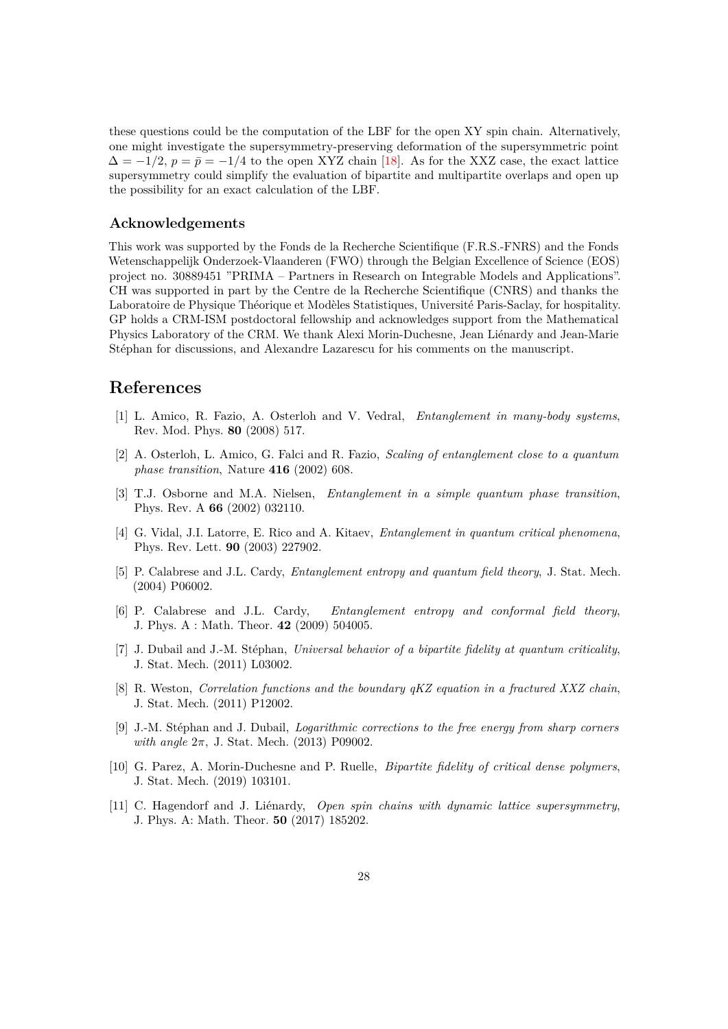these questions could be the computation of the LBF for the open XY spin chain. Alternatively, one might investigate the supersymmetry-preserving deformation of the supersymmetric point  $\Delta = -1/2$ ,  $p = \bar{p} = -1/4$  to the open XYZ chain [\[18\]](#page-28-5). As for the XXZ case, the exact lattice supersymmetry could simplify the evaluation of bipartite and multipartite overlaps and open up the possibility for an exact calculation of the LBF.

# **Acknowledgements**

This work was supported by the Fonds de la Recherche Scientifique (F.R.S.-FNRS) and the Fonds Wetenschappelijk Onderzoek-Vlaanderen (FWO) through the Belgian Excellence of Science (EOS) project no. 30889451 "PRIMA – Partners in Research on Integrable Models and Applications". CH was supported in part by the Centre de la Recherche Scientifique (CNRS) and thanks the Laboratoire de Physique Théorique et Modèles Statistiques, Université Paris-Saclay, for hospitality. GP holds a CRM-ISM postdoctoral fellowship and acknowledges support from the Mathematical Physics Laboratory of the CRM. We thank Alexi Morin-Duchesne, Jean Liénardy and Jean-Marie Stéphan for discussions, and Alexandre Lazarescu for his comments on the manuscript.

# **References**

- <span id="page-27-0"></span>[1] L. Amico, R. Fazio, A. Osterloh and V. Vedral, *Entanglement in many-body systems*, Rev. Mod. Phys. **80** (2008) 517.
- <span id="page-27-1"></span>[2] A. Osterloh, L. Amico, G. Falci and R. Fazio, *Scaling of entanglement close to a quantum phase transition*, Nature **416** (2002) 608.
- [3] T.J. Osborne and M.A. Nielsen, *Entanglement in a simple quantum phase transition*, Phys. Rev. A **66** (2002) 032110.
- <span id="page-27-2"></span>[4] G. Vidal, J.I. Latorre, E. Rico and A. Kitaev, *Entanglement in quantum critical phenomena*, Phys. Rev. Lett. **90** (2003) 227902.
- <span id="page-27-3"></span>[5] P. Calabrese and J.L. Cardy, *Entanglement entropy and quantum field theory*, J. Stat. Mech. (2004) P06002.
- <span id="page-27-4"></span>[6] P. Calabrese and J.L. Cardy, *Entanglement entropy and conformal field theory*, J. Phys. A : Math. Theor. **42** (2009) 504005.
- <span id="page-27-5"></span>[7] J. Dubail and J.-M. Stéphan, *Universal behavior of a bipartite fidelity at quantum criticality*, J. Stat. Mech. (2011) L03002.
- <span id="page-27-6"></span>[8] R. Weston, *Correlation functions and the boundary qKZ equation in a fractured XXZ chain*, J. Stat. Mech. (2011) P12002.
- <span id="page-27-7"></span>[9] J.-M. St´ephan and J. Dubail, *Logarithmic corrections to the free energy from sharp corners with angle*  $2π$ , J. Stat. Mech. (2013) P09002.
- <span id="page-27-8"></span>[10] G. Parez, A. Morin-Duchesne and P. Ruelle, *Bipartite fidelity of critical dense polymers*, J. Stat. Mech. (2019) 103101.
- <span id="page-27-9"></span>[11] C. Hagendorf and J. Liénardy, *Open spin chains with dynamic lattice supersymmetry*, J. Phys. A: Math. Theor. **50** (2017) 185202.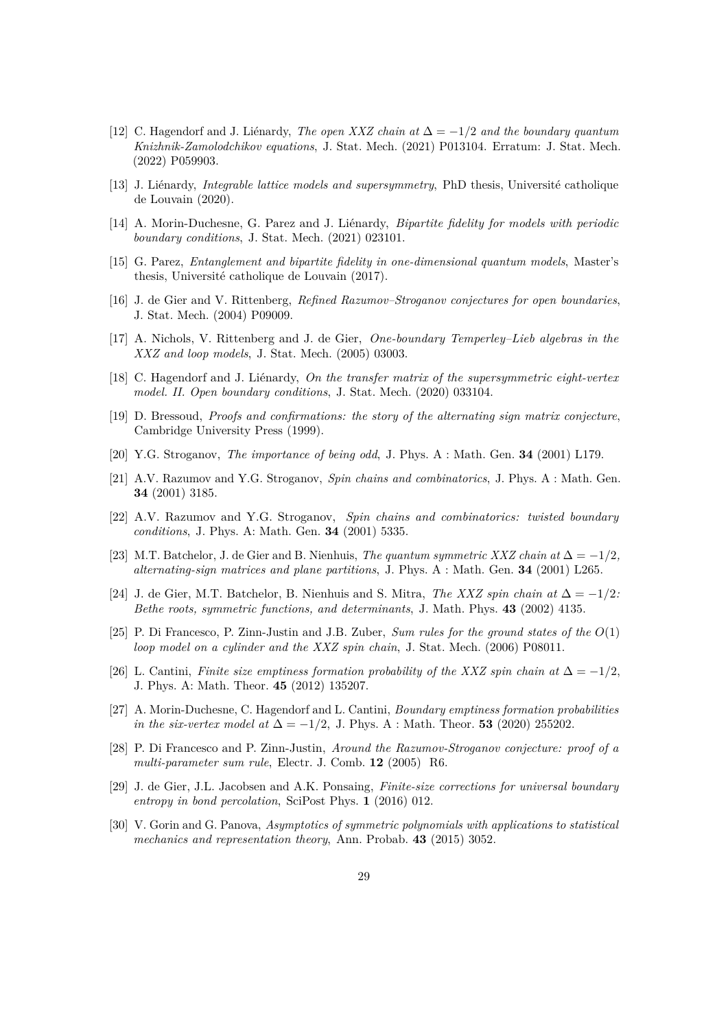- <span id="page-28-0"></span>[12] C. Hagendorf and J. Liénardy, *The open XXZ chain at*  $\Delta = -1/2$  *and the boundary quantum Knizhnik-Zamolodchikov equations*, J. Stat. Mech. (2021) P013104. Erratum: J. Stat. Mech. (2022) P059903.
- <span id="page-28-1"></span>[13] J. Liénardy, *Integrable lattice models and supersymmetry*, PhD thesis, Université catholique de Louvain (2020).
- <span id="page-28-2"></span>[14] A. Morin-Duchesne, G. Parez and J. Liénardy, *Bipartite fidelity for models with periodic boundary conditions*, J. Stat. Mech. (2021) 023101.
- <span id="page-28-3"></span>[15] G. Parez, *Entanglement and bipartite fidelity in one-dimensional quantum models*, Master's thesis, Université catholique de Louvain (2017).
- <span id="page-28-4"></span>[16] J. de Gier and V. Rittenberg, *Refined Razumov–Stroganov conjectures for open boundaries*, J. Stat. Mech. (2004) P09009.
- [17] A. Nichols, V. Rittenberg and J. de Gier, *One-boundary Temperley–Lieb algebras in the XXZ and loop models*, J. Stat. Mech. (2005) 03003.
- <span id="page-28-5"></span>[18] C. Hagendorf and J. Liénardy, *On the transfer matrix of the supersymmetric eight-vertex model. II. Open boundary conditions*, J. Stat. Mech. (2020) 033104.
- <span id="page-28-6"></span>[19] D. Bressoud, *Proofs and confirmations: the story of the alternating sign matrix conjecture*, Cambridge University Press (1999).
- <span id="page-28-7"></span>[20] Y.G. Stroganov, *The importance of being odd*, J. Phys. A : Math. Gen. **34** (2001) L179.
- [21] A.V. Razumov and Y.G. Stroganov, *Spin chains and combinatorics*, J. Phys. A : Math. Gen. **34** (2001) 3185.
- [22] A.V. Razumov and Y.G. Stroganov, *Spin chains and combinatorics: twisted boundary conditions*, J. Phys. A: Math. Gen. **34** (2001) 5335.
- [23] M.T. Batchelor, J. de Gier and B. Nienhuis, *The quantum symmetric XXZ chain at*  $\Delta = -1/2$ , *alternating-sign matrices and plane partitions*, J. Phys. A : Math. Gen. **34** (2001) L265.
- [24] J. de Gier, M.T. Batchelor, B. Nienhuis and S. Mitra, *The XXZ spin chain at*  $\Delta = -1/2$ *: Bethe roots, symmetric functions, and determinants*, J. Math. Phys. **43** (2002) 4135.
- <span id="page-28-9"></span>[25] P. Di Francesco, P. Zinn-Justin and J.B. Zuber, *Sum rules for the ground states of the O*(1) *loop model on a cylinder and the XXZ spin chain*, J. Stat. Mech. (2006) P08011.
- [26] L. Cantini, *Finite size emptiness formation probability of the XXZ spin chain at*  $\Delta = -1/2$ , J. Phys. A: Math. Theor. **45** (2012) 135207.
- <span id="page-28-8"></span>[27] A. Morin-Duchesne, C. Hagendorf and L. Cantini, *Boundary emptiness formation probabilities in the six-vertex model at*  $\Delta = -1/2$ , J. Phys. A : Math. Theor. **53** (2020) 255202.
- <span id="page-28-10"></span>[28] P. Di Francesco and P. Zinn-Justin, *Around the Razumov-Stroganov conjecture: proof of a multi-parameter sum rule*, Electr. J. Comb. **12** (2005) R6.
- <span id="page-28-11"></span>[29] J. de Gier, J.L. Jacobsen and A.K. Ponsaing, *Finite-size corrections for universal boundary entropy in bond percolation*, SciPost Phys. **1** (2016) 012.
- <span id="page-28-12"></span>[30] V. Gorin and G. Panova, *Asymptotics of symmetric polynomials with applications to statistical mechanics and representation theory*, Ann. Probab. **43** (2015) 3052.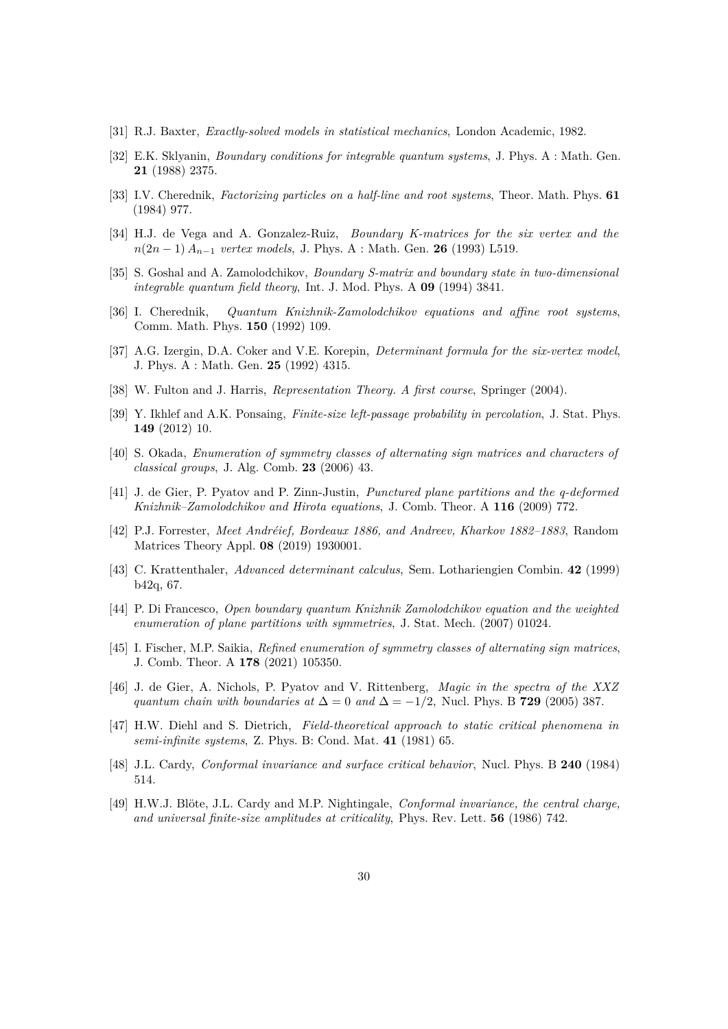- <span id="page-29-0"></span>[31] R.J. Baxter, *Exactly-solved models in statistical mechanics*, London Academic, 1982.
- <span id="page-29-1"></span>[32] E.K. Sklyanin, *Boundary conditions for integrable quantum systems*, J. Phys. A : Math. Gen. **21** (1988) 2375.
- <span id="page-29-2"></span>[33] I.V. Cherednik, *Factorizing particles on a half-line and root systems*, Theor. Math. Phys. **61** (1984) 977.
- <span id="page-29-3"></span>[34] H.J. de Vega and A. Gonzalez-Ruiz, *Boundary K-matrices for the six vertex and the n*(2*n* − 1) *An*−<sup>1</sup> *vertex models*, J. Phys. A : Math. Gen. **26** (1993) L519.
- <span id="page-29-4"></span>[35] S. Goshal and A. Zamolodchikov, *Boundary S-matrix and boundary state in two-dimensional integrable quantum field theory*, Int. J. Mod. Phys. A **09** (1994) 3841.
- <span id="page-29-5"></span>[36] I. Cherednik, *Quantum Knizhnik-Zamolodchikov equations and affine root systems*, Comm. Math. Phys. **150** (1992) 109.
- <span id="page-29-6"></span>[37] A.G. Izergin, D.A. Coker and V.E. Korepin, *Determinant formula for the six-vertex model*, J. Phys. A : Math. Gen. **25** (1992) 4315.
- <span id="page-29-7"></span>[38] W. Fulton and J. Harris, *Representation Theory. A first course*, Springer (2004).
- <span id="page-29-8"></span>[39] Y. Ikhlef and A.K. Ponsaing, *Finite-size left-passage probability in percolation*, J. Stat. Phys. **149** (2012) 10.
- <span id="page-29-9"></span>[40] S. Okada, *Enumeration of symmetry classes of alternating sign matrices and characters of classical groups*, J. Alg. Comb. **23** (2006) 43.
- <span id="page-29-10"></span>[41] J. de Gier, P. Pyatov and P. Zinn-Justin, *Punctured plane partitions and the q-deformed Knizhnik–Zamolodchikov and Hirota equations*, J. Comb. Theor. A **116** (2009) 772.
- <span id="page-29-11"></span>[42] P.J. Forrester, *Meet Andréief, Bordeaux 1886, and Andreev, Kharkov 1882–1883*, Random Matrices Theory Appl. **08** (2019) 1930001.
- <span id="page-29-12"></span>[43] C. Krattenthaler, *Advanced determinant calculus*, Sem. Lothariengien Combin. **42** (1999) b42q, 67.
- <span id="page-29-13"></span>[44] P. Di Francesco, *Open boundary quantum Knizhnik Zamolodchikov equation and the weighted enumeration of plane partitions with symmetries*, J. Stat. Mech. (2007) 01024.
- <span id="page-29-14"></span>[45] I. Fischer, M.P. Saikia, *Refined enumeration of symmetry classes of alternating sign matrices*, J. Comb. Theor. A **178** (2021) 105350.
- <span id="page-29-15"></span>[46] J. de Gier, A. Nichols, P. Pyatov and V. Rittenberg, *Magic in the spectra of the XXZ quantum chain with boundaries at*  $\Delta = 0$  *and*  $\Delta = -1/2$ , Nucl. Phys. B **729** (2005) 387.
- <span id="page-29-16"></span>[47] H.W. Diehl and S. Dietrich, *Field-theoretical approach to static critical phenomena in semi-infinite systems*, Z. Phys. B: Cond. Mat. **41** (1981) 65.
- <span id="page-29-17"></span>[48] J.L. Cardy, *Conformal invariance and surface critical behavior*, Nucl. Phys. B **240** (1984) 514.
- <span id="page-29-18"></span>[49] H.W.J. Bl¨ote, J.L. Cardy and M.P. Nightingale, *Conformal invariance, the central charge, and universal finite-size amplitudes at criticality*, Phys. Rev. Lett. **56** (1986) 742.